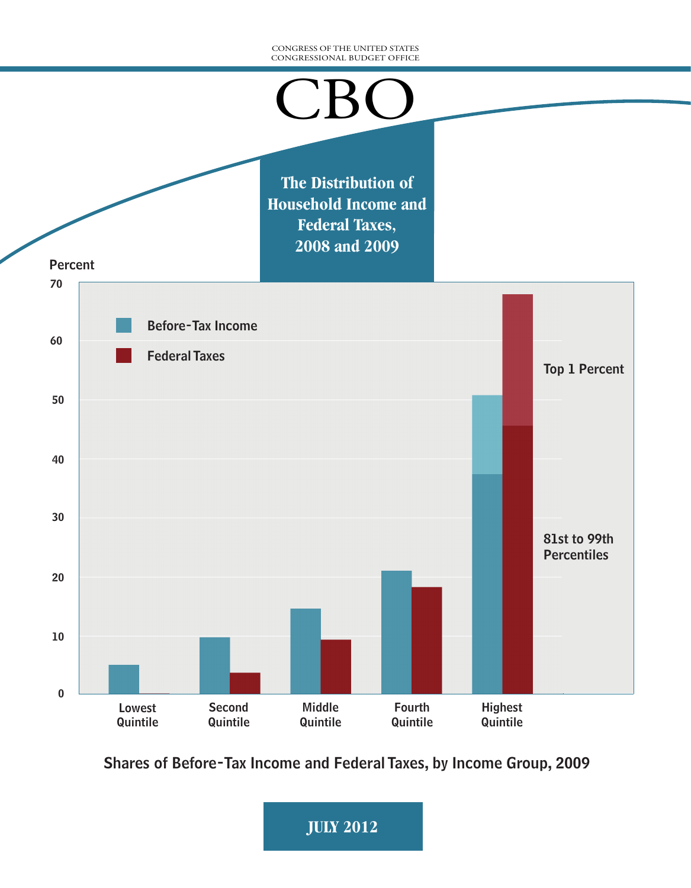#### CONGRESS OF THE UNITED STATES CONGRESSIONAL BUDGET OFFICE



Shares of Before-Tax Income and Federal Taxes, by Income Group, 2009

**JULY 2012**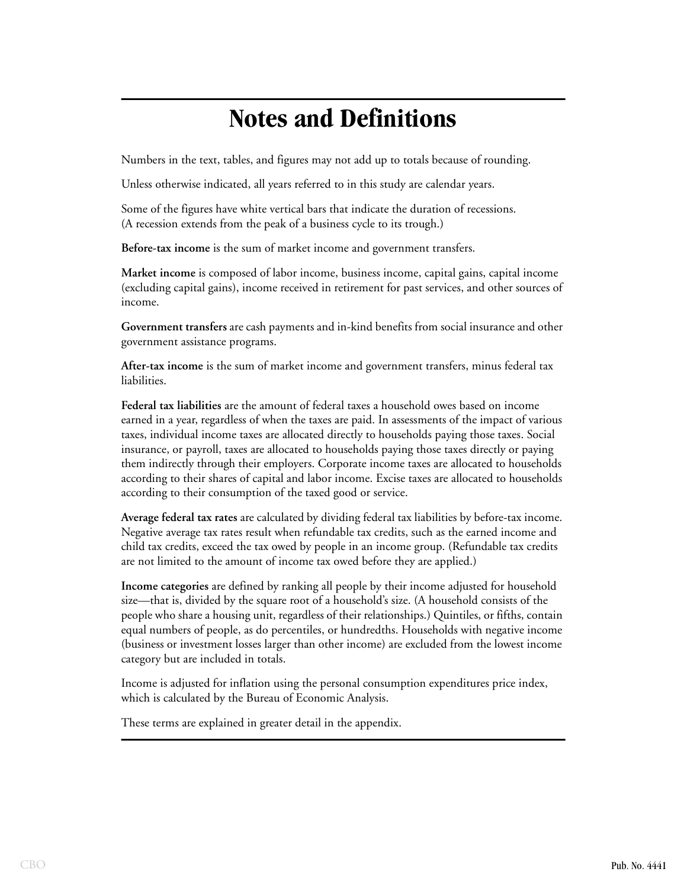# **Notes and Definitions**

Numbers in the text, tables, and figures may not add up to totals because of rounding.

Unless otherwise indicated, all years referred to in this study are calendar years.

Some of the figures have white vertical bars that indicate the duration of recessions. (A recession extends from the peak of a business cycle to its trough.)

**Before-tax income** is the sum of market income and government transfers.

**Market income** is composed of labor income, business income, capital gains, capital income (excluding capital gains), income received in retirement for past services, and other sources of income.

**Government transfers** are cash payments and in-kind benefits from social insurance and other government assistance programs.

**After-tax income** is the sum of market income and government transfers, minus federal tax liabilities.

**Federal tax liabilities** are the amount of federal taxes a household owes based on income earned in a year, regardless of when the taxes are paid. In assessments of the impact of various taxes, individual income taxes are allocated directly to households paying those taxes. Social insurance, or payroll, taxes are allocated to households paying those taxes directly or paying them indirectly through their employers. Corporate income taxes are allocated to households according to their shares of capital and labor income. Excise taxes are allocated to households according to their consumption of the taxed good or service.

**Average federal tax rates** are calculated by dividing federal tax liabilities by before-tax income. Negative average tax rates result when refundable tax credits, such as the earned income and child tax credits, exceed the tax owed by people in an income group. (Refundable tax credits are not limited to the amount of income tax owed before they are applied.)

**Income categories** are defined by ranking all people by their income adjusted for household size—that is, divided by the square root of a household's size. (A household consists of the people who share a housing unit, regardless of their relationships.) Quintiles, or fifths, contain equal numbers of people, as do percentiles, or hundredths. Households with negative income (business or investment losses larger than other income) are excluded from the lowest income category but are included in totals.

Income is adjusted for inflation using the personal consumption expenditures price index, which is calculated by the Bureau of Economic Analysis.

These terms are explained in greater detail in the appendix.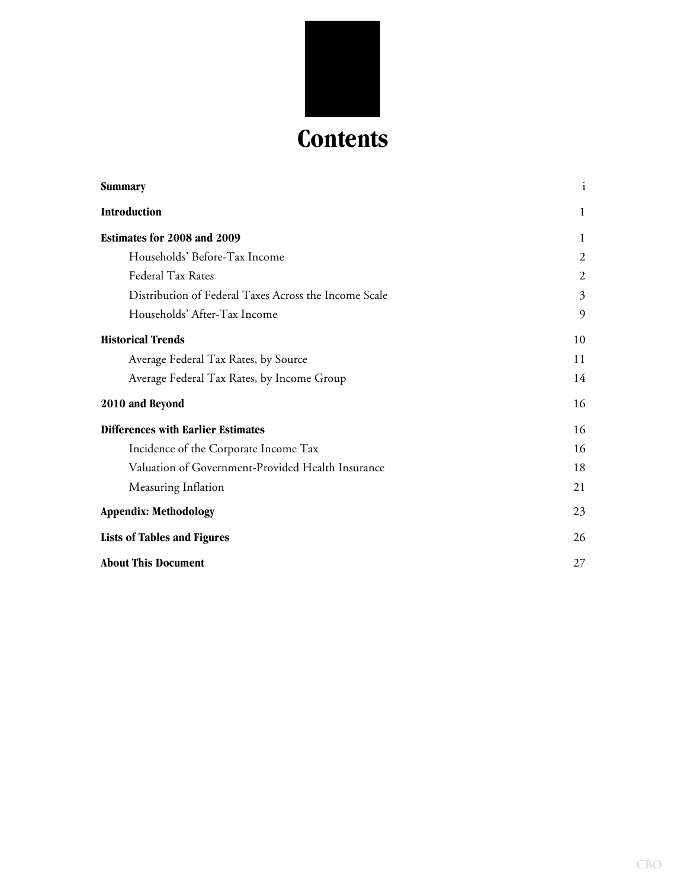

| Summary                                               | $\mathbf{i}$ |
|-------------------------------------------------------|--------------|
| Introduction                                          | 1            |
| Estimates for 2008 and 2009                           | $\mathbf{1}$ |
| Households' Before-Tax Income                         | 2            |
| Federal Tax Rates                                     | 2            |
| Distribution of Federal Taxes Across the Income Scale | 3            |
| Households' After-Tax Income                          | 9            |
| <b>Historical Trends</b>                              | 10           |
| Average Federal Tax Rates, by Source                  | 11           |
| Average Federal Tax Rates, by Income Group            | 14           |
| 2010 and Beyond                                       | 16           |
| <b>Differences with Earlier Estimates</b>             | 16           |
| Incidence of the Corporate Income Tax                 | 16           |
| Valuation of Government-Provided Health Insurance     | 18           |
| Measuring Inflation                                   | 21           |
| <b>Appendix: Methodology</b>                          | 23           |
| <b>Lists of Tables and Figures</b>                    | 26           |
| <b>About This Document</b>                            | 27           |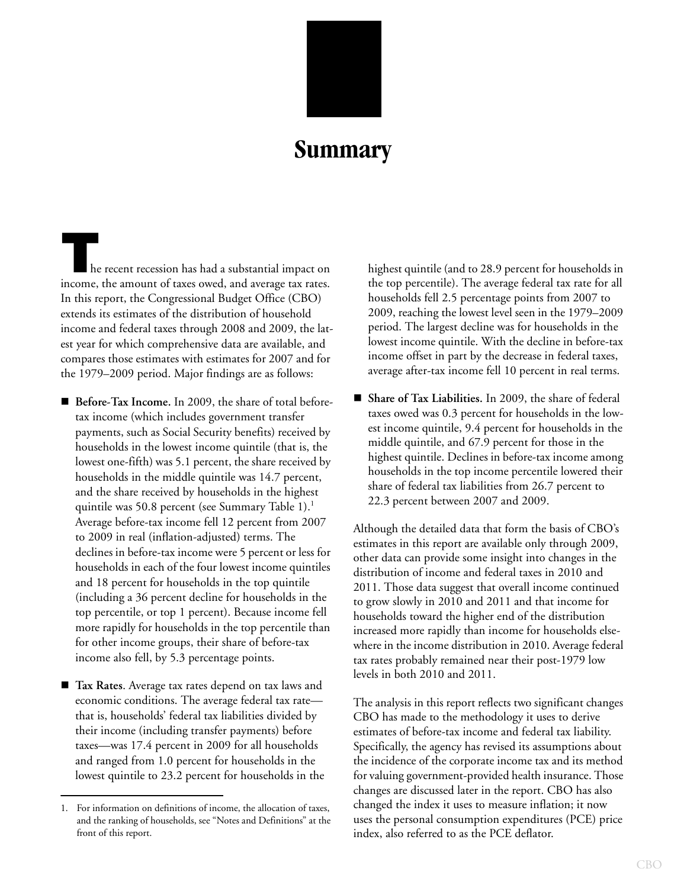

# **Summary**

<span id="page-3-0"></span>**T**he recent recession has had a substantial impact on income, the amount of taxes owed, and average tax rates. In this report, the Congressional Budget Office (CBO) extends its estimates of the distribution of household income and federal taxes through 2008 and 2009, the latest year for which comprehensive data are available, and compares those estimates with estimates for 2007 and for the 1979–2009 period. Major findings are as follows:

- Before-Tax Income. In 2009, the share of total beforetax income (which includes government transfer payments, such as Social Security benefits) received by households in the lowest income quintile (that is, the lowest one-fifth) was 5.1 percent, the share received by households in the middle quintile was 14.7 percent, and the share received by households in the highest quintile was 50.8 percent (see [Summary Table 1\)](#page-4-0).<sup>1</sup> Average before-tax income fell 12 percent from 2007 to 2009 in real (inflation-adjusted) terms. The declines in before-tax income were 5 percent or less for households in each of the four lowest income quintiles and 18 percent for households in the top quintile (including a 36 percent decline for households in the top percentile, or top 1 percent). Because income fell more rapidly for households in the top percentile than for other income groups, their share of before-tax income also fell, by 5.3 percentage points.
- **Tax Rates**. Average tax rates depend on tax laws and economic conditions. The average federal tax rate that is, households' federal tax liabilities divided by their income (including transfer payments) before taxes—was 17.4 percent in 2009 for all households and ranged from 1.0 percent for households in the lowest quintile to 23.2 percent for households in the

highest quintile (and to 28.9 percent for households in the top percentile). The average federal tax rate for all households fell 2.5 percentage points from 2007 to 2009, reaching the lowest level seen in the 1979–2009 period. The largest decline was for households in the lowest income quintile. With the decline in before-tax income offset in part by the decrease in federal taxes, average after-tax income fell 10 percent in real terms.

 **Share of Tax Liabilities.** In 2009, the share of federal taxes owed was 0.3 percent for households in the lowest income quintile, 9.4 percent for households in the middle quintile, and 67.9 percent for those in the highest quintile. Declines in before-tax income among households in the top income percentile lowered their share of federal tax liabilities from 26.7 percent to 22.3 percent between 2007 and 2009.

Although the detailed data that form the basis of CBO's estimates in this report are available only through 2009, other data can provide some insight into changes in the distribution of income and federal taxes in 2010 and 2011. Those data suggest that overall income continued to grow slowly in 2010 and 2011 and that income for households toward the higher end of the distribution increased more rapidly than income for households elsewhere in the income distribution in 2010. Average federal tax rates probably remained near their post-1979 low levels in both 2010 and 2011.

The analysis in this report reflects two significant changes CBO has made to the methodology it uses to derive estimates of before-tax income and federal tax liability. Specifically, the agency has revised its assumptions about the incidence of the corporate income tax and its method for valuing government-provided health insurance. Those changes are discussed later in the report. CBO has also changed the index it uses to measure inflation; it now uses the personal consumption expenditures (PCE) price index, also referred to as the PCE deflator.

<sup>1.</sup> For information on definitions of income, the allocation of taxes, and the ranking of households, see "Notes and Definitions" at the front of this report.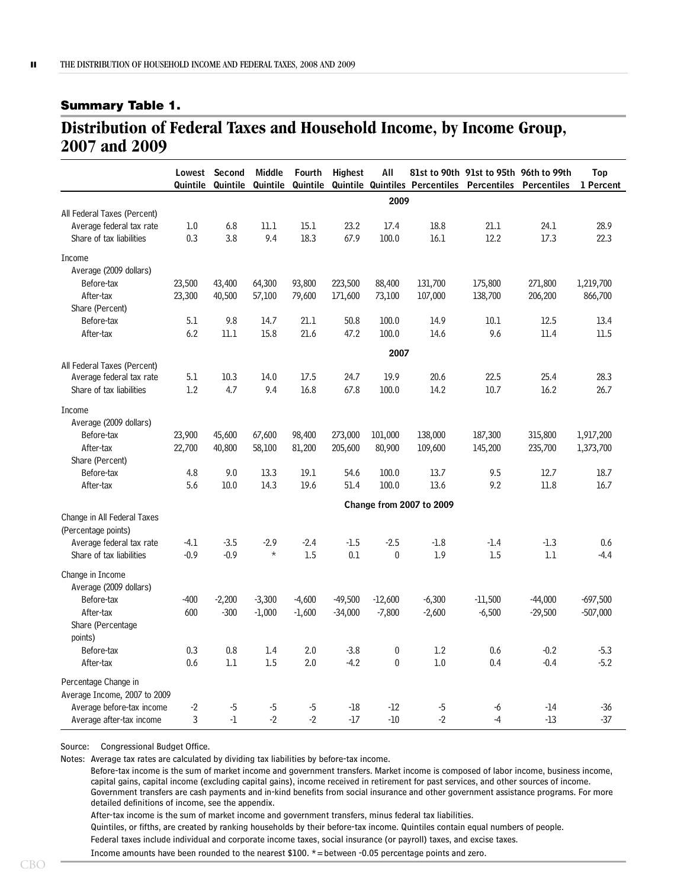#### <span id="page-4-0"></span>**Summary Table 1.**

## <span id="page-4-1"></span>**Distribution of Federal Taxes and Household Income, by Income Group, 2007 and 2009**

|                              | Lowest<br>Quintile | Second<br>Quintile | <b>Middle</b><br>Quintile | Fourth<br>Quintile | <b>Highest</b> | All                              | Quintile Quintiles Percentiles | <b>Percentiles</b> | 81st to 90th 91st to 95th 96th to 99th<br>Percentiles | Top<br>1 Percent |
|------------------------------|--------------------|--------------------|---------------------------|--------------------|----------------|----------------------------------|--------------------------------|--------------------|-------------------------------------------------------|------------------|
|                              |                    |                    |                           |                    |                | 2009                             |                                |                    |                                                       |                  |
| All Federal Taxes (Percent)  |                    |                    |                           |                    |                |                                  |                                |                    |                                                       |                  |
| Average federal tax rate     | 1.0                | 6.8                | 11.1                      | 15.1               | 23.2           | 17.4                             | 18.8                           | 21.1               | 24.1                                                  | 28.9             |
| Share of tax liabilities     | 0.3                | 3.8                | 9.4                       | 18.3               | 67.9           | 100.0                            | 16.1                           | 12.2               | 17.3                                                  | 22.3             |
| Income                       |                    |                    |                           |                    |                |                                  |                                |                    |                                                       |                  |
| Average (2009 dollars)       |                    |                    |                           |                    |                |                                  |                                |                    |                                                       |                  |
| Before-tax                   | 23,500             | 43,400             | 64,300                    | 93,800             | 223,500        | 88,400                           | 131,700                        | 175,800            | 271,800                                               | 1,219,700        |
| After-tax                    | 23,300             | 40,500             | 57,100                    | 79,600             | 171,600        | 73,100                           | 107,000                        | 138,700            | 206,200                                               | 866,700          |
| Share (Percent)              |                    |                    |                           |                    |                |                                  |                                |                    |                                                       |                  |
| Before-tax                   | 5.1                | 9.8                | 14.7                      | 21.1               | 50.8           | 100.0                            | 14.9                           | 10.1               | 12.5                                                  | 13.4             |
| After-tax                    | 6.2                | 11.1               | 15.8                      | 21.6               | 47.2           | 100.0                            | 14.6                           | 9.6                | 11.4                                                  | 11.5             |
|                              |                    |                    |                           |                    |                | 2007                             |                                |                    |                                                       |                  |
| All Federal Taxes (Percent)  |                    |                    |                           |                    |                |                                  |                                |                    |                                                       |                  |
| Average federal tax rate     | 5.1                | 10.3               | 14.0                      | 17.5               | 24.7           | 19.9                             | 20.6                           | 22.5               | 25.4                                                  | 28.3             |
| Share of tax liabilities     | 1.2                | 4.7                | 9.4                       | 16.8               | 67.8           | 100.0                            | 14.2                           | $10.7$             | 16.2                                                  | 26.7             |
| Income                       |                    |                    |                           |                    |                |                                  |                                |                    |                                                       |                  |
| Average (2009 dollars)       |                    |                    |                           |                    |                |                                  |                                |                    |                                                       |                  |
| Before-tax                   | 23,900             | 45,600             | 67,600                    | 98,400             | 273,000        | 101,000                          | 138,000                        | 187,300            | 315,800                                               | 1,917,200        |
| After-tax                    | 22,700             | 40,800             | 58,100                    | 81,200             | 205,600        | 80,900                           | 109,600                        | 145,200            | 235,700                                               | 1,373,700        |
| Share (Percent)              |                    |                    |                           |                    |                |                                  |                                |                    |                                                       |                  |
| Before-tax                   | 4.8                | 9.0                | 13.3                      | 19.1               | 54.6           | 100.0                            | 13.7                           | 9.5                | 12.7                                                  | 18.7             |
| After-tax                    | 5.6                | 10.0               | 14.3                      | 19.6               | 51.4           | 100.0                            | 13.6                           | 9.2                | 11.8                                                  | 16.7             |
|                              |                    |                    |                           |                    |                |                                  |                                |                    |                                                       |                  |
| Change in All Federal Taxes  |                    |                    |                           |                    |                |                                  | Change from 2007 to 2009       |                    |                                                       |                  |
| (Percentage points)          |                    |                    |                           |                    |                |                                  |                                |                    |                                                       |                  |
| Average federal tax rate     | $-4.1$             | $-3.5$             | $-2.9$                    | $-2.4$             | $-1.5$         | $-2.5$                           | $-1.8$                         | $-1.4$             | $-1.3$                                                | 0.6              |
| Share of tax liabilities     | $-0.9$             | $-0.9$             | $\star$                   | 1.5                | 0.1            | $\bf{0}$                         | 1.9                            | 1.5                | 1.1                                                   | $-4.4$           |
|                              |                    |                    |                           |                    |                |                                  |                                |                    |                                                       |                  |
| Change in Income             |                    |                    |                           |                    |                |                                  |                                |                    |                                                       |                  |
| Average (2009 dollars)       |                    |                    |                           |                    |                |                                  |                                |                    |                                                       |                  |
| Before-tax                   | -400               | $-2,200$           | $-3,300$                  | $-4,600$           | $-49,500$      | $-12,600$                        | $-6,300$                       | $-11,500$          | $-44,000$                                             | $-697,500$       |
| After-tax                    | 600                | $-300$             | $-1,000$                  | $-1,600$           | $-34,000$      | $-7,800$                         | $-2,600$                       | $-6,500$           | $-29,500$                                             | $-507,000$       |
| Share (Percentage            |                    |                    |                           |                    |                |                                  |                                |                    |                                                       |                  |
| points)                      |                    |                    |                           |                    |                |                                  |                                |                    |                                                       |                  |
| Before-tax                   | 0.3                | 0.8                | 1.4                       | 2.0                | $-3.8$         | $\boldsymbol{0}$<br>$\mathbf{0}$ | 1.2                            | 0.6                | $-0.2$                                                | $-5.3$           |
| After-tax                    | 0.6                | 1.1                | 1.5                       | 2.0                | $-4.2$         |                                  | 1.0                            | 0.4                | $-0.4$                                                | $-5.2$           |
| Percentage Change in         |                    |                    |                           |                    |                |                                  |                                |                    |                                                       |                  |
| Average Income, 2007 to 2009 |                    |                    |                           |                    |                |                                  |                                |                    |                                                       |                  |
| Average before-tax income    | -2                 | $-5$               | $-5$                      | -5                 | $-18$          | $-12$                            | $-5$                           | -6                 | $-14$                                                 | $-36$            |
| Average after-tax income     | 3                  | $-1$               | $-2$                      | $-2$               | $-17$          | $-10$                            | $-2$                           | $-4$               | $-13$                                                 | $-37$            |

Source: Congressional Budget Office.

Notes: Average tax rates are calculated by dividing tax liabilities by before-tax income.

Before-tax income is the sum of market income and government transfers. Market income is composed of labor income, business income, capital gains, capital income (excluding capital gains), income received in retirement for past services, and other sources of income. Government transfers are cash payments and in-kind benefits from social insurance and other government assistance programs. For more detailed definitions of income, see the appendix.

After-tax income is the sum of market income and government transfers, minus federal tax liabilities.

Quintiles, or fifths, are created by ranking households by their before-tax income. Quintiles contain equal numbers of people.

Federal taxes include individual and corporate income taxes, social insurance (or payroll) taxes, and excise taxes.

Income amounts have been rounded to the nearest  $$100. *=$  between -0.05 percentage points and zero.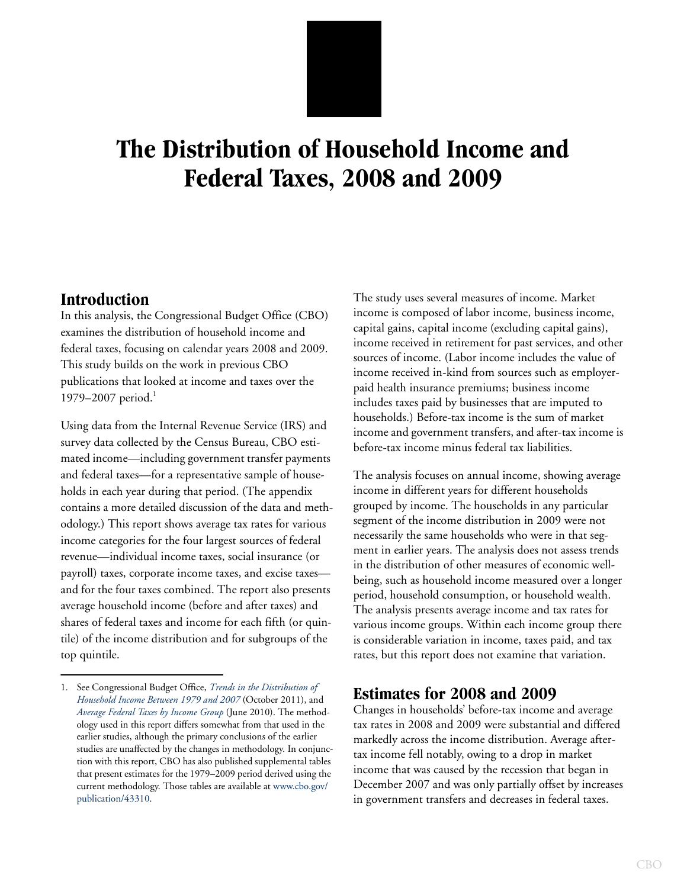# **The Distribution of Household Income and Federal Taxes, 2008 and 2009**

## <span id="page-5-0"></span>**Introduction**

In this analysis, the Congressional Budget Office (CBO) examines the distribution of household income and federal taxes, focusing on calendar years 2008 and 2009. This study builds on the work in previous CBO publications that looked at income and taxes over the 1979–2007 period.<sup>1</sup>

Using data from the Internal Revenue Service (IRS) and survey data collected by the Census Bureau, CBO estimated income—including government transfer payments and federal taxes—for a representative sample of households in each year during that period. (The appendix contains a more detailed discussion of the data and methodology.) This report shows average tax rates for various income categories for the four largest sources of federal revenue—individual income taxes, social insurance (or payroll) taxes, corporate income taxes, and excise taxes and for the four taxes combined. The report also presents average household income (before and after taxes) and shares of federal taxes and income for each fifth (or quintile) of the income distribution and for subgroups of the top quintile.

The study uses several measures of income. Market income is composed of labor income, business income, capital gains, capital income (excluding capital gains), income received in retirement for past services, and other sources of income. (Labor income includes the value of income received in-kind from sources such as employerpaid health insurance premiums; business income includes taxes paid by businesses that are imputed to households.) Before-tax income is the sum of market income and government transfers, and after-tax income is before-tax income minus federal tax liabilities.

The analysis focuses on annual income, showing average income in different years for different households grouped by income. The households in any particular segment of the income distribution in 2009 were not necessarily the same households who were in that segment in earlier years. The analysis does not assess trends in the distribution of other measures of economic wellbeing, such as household income measured over a longer period, household consumption, or household wealth. The analysis presents average income and tax rates for various income groups. Within each income group there is considerable variation in income, taxes paid, and tax rates, but this report does not examine that variation.

## <span id="page-5-1"></span>**Estimates for 2008 and 2009**

Changes in households' before-tax income and average tax rates in 2008 and 2009 were substantial and differed markedly across the income distribution. Average aftertax income fell notably, owing to a drop in market income that was caused by the recession that began in December 2007 and was only partially offset by increases in government transfers and decreases in federal taxes.

<sup>1.</sup> See Congressional Budget Office, *[Trends in the Distribution of](http://www.cbo.gov/publication/42729)  [Household Income Between 1979 and 2007](http://www.cbo.gov/publication/42729)* (October 2011), and *[Average Federal Taxes by Income Group](http://www.cbo.gov/publication/42870)* (June 2010). The methodology used in this report differs somewhat from that used in the earlier studies, although the primary conclusions of the earlier studies are unaffected by the changes in methodology. In conjunction with this report, CBO has also published supplemental tables that present estimates for the 1979–2009 period derived using the current methodology. Those tables are available at [www.cbo.gov/](http://www.cbo.gov/publication/43310) [publication/43310](http://www.cbo.gov/publication/43310).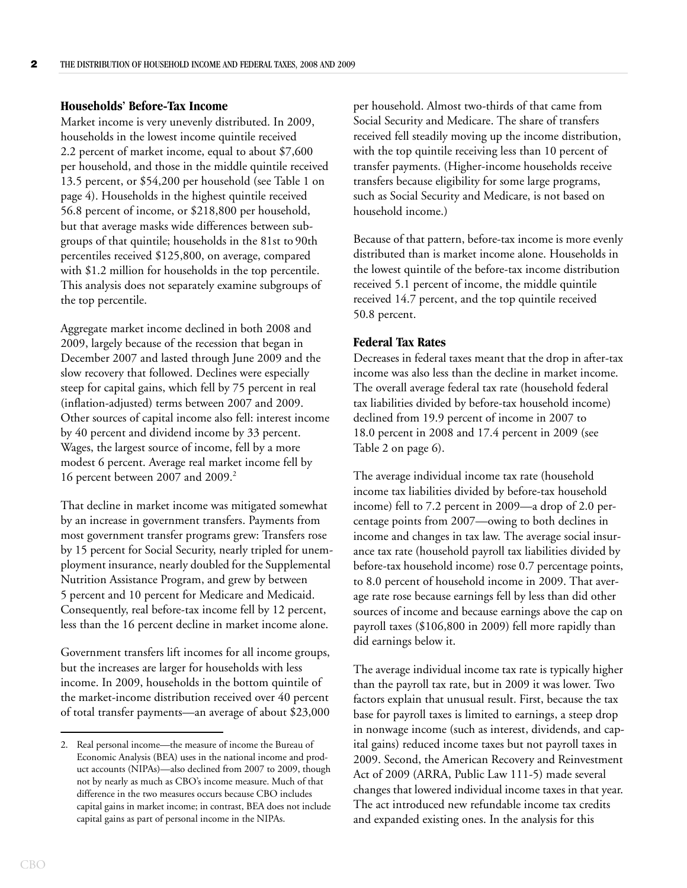#### <span id="page-6-0"></span>**Households' Before-Tax Income**

Market income is very unevenly distributed. In 2009, households in the lowest income quintile received 2.2 percent of market income, equal to about \$7,600 per household, and those in the middle quintile received 13.5 percent, or \$54,200 per household (see [Table 1 on](#page-8-0)  [page 4](#page-8-0)). Households in the highest quintile received 56.8 percent of income, or \$218,800 per household, but that average masks wide differences between subgroups of that quintile; households in the 81st to 90th percentiles received \$125,800, on average, compared with \$1.2 million for households in the top percentile. This analysis does not separately examine subgroups of the top percentile.

Aggregate market income declined in both 2008 and 2009, largely because of the recession that began in December 2007 and lasted through June 2009 and the slow recovery that followed. Declines were especially steep for capital gains, which fell by 75 percent in real (inflation-adjusted) terms between 2007 and 2009. Other sources of capital income also fell: interest income by 40 percent and dividend income by 33 percent. Wages, the largest source of income, fell by a more modest 6 percent. Average real market income fell by 16 percent between 2007 and 2009.<sup>2</sup>

That decline in market income was mitigated somewhat by an increase in government transfers. Payments from most government transfer programs grew: Transfers rose by 15 percent for Social Security, nearly tripled for unemployment insurance, nearly doubled for the Supplemental Nutrition Assistance Program, and grew by between 5 percent and 10 percent for Medicare and Medicaid. Consequently, real before-tax income fell by 12 percent, less than the 16 percent decline in market income alone.

Government transfers lift incomes for all income groups, but the increases are larger for households with less income. In 2009, households in the bottom quintile of the market-income distribution received over 40 percent of total transfer payments—an average of about \$23,000 per household. Almost two-thirds of that came from Social Security and Medicare. The share of transfers received fell steadily moving up the income distribution, with the top quintile receiving less than 10 percent of transfer payments. (Higher-income households receive transfers because eligibility for some large programs, such as Social Security and Medicare, is not based on household income.)

Because of that pattern, before-tax income is more evenly distributed than is market income alone. Households in the lowest quintile of the before-tax income distribution received 5.1 percent of income, the middle quintile received 14.7 percent, and the top quintile received 50.8 percent.

#### <span id="page-6-1"></span>**Federal Tax Rates**

Decreases in federal taxes meant that the drop in after-tax income was also less than the decline in market income. The overall average federal tax rate (household federal tax liabilities divided by before-tax household income) declined from 19.9 percent of income in 2007 to 18.0 percent in 2008 and 17.4 percent in 2009 (see [Table 2 on page 6](#page-10-0)).

The average individual income tax rate (household income tax liabilities divided by before-tax household income) fell to 7.2 percent in 2009—a drop of 2.0 percentage points from 2007—owing to both declines in income and changes in tax law. The average social insurance tax rate (household payroll tax liabilities divided by before-tax household income) rose 0.7 percentage points, to 8.0 percent of household income in 2009. That average rate rose because earnings fell by less than did other sources of income and because earnings above the cap on payroll taxes (\$106,800 in 2009) fell more rapidly than did earnings below it.

The average individual income tax rate is typically higher than the payroll tax rate, but in 2009 it was lower. Two factors explain that unusual result. First, because the tax base for payroll taxes is limited to earnings, a steep drop in nonwage income (such as interest, dividends, and capital gains) reduced income taxes but not payroll taxes in 2009. Second, the American Recovery and Reinvestment Act of 2009 (ARRA, Public Law 111-5) made several changes that lowered individual income taxes in that year. The act introduced new refundable income tax credits and expanded existing ones. In the analysis for this

<sup>2.</sup> Real personal income—the measure of income the Bureau of Economic Analysis (BEA) uses in the national income and product accounts (NIPAs)—also declined from 2007 to 2009, though not by nearly as much as CBO's income measure. Much of that difference in the two measures occurs because CBO includes capital gains in market income; in contrast, BEA does not include capital gains as part of personal income in the NIPAs.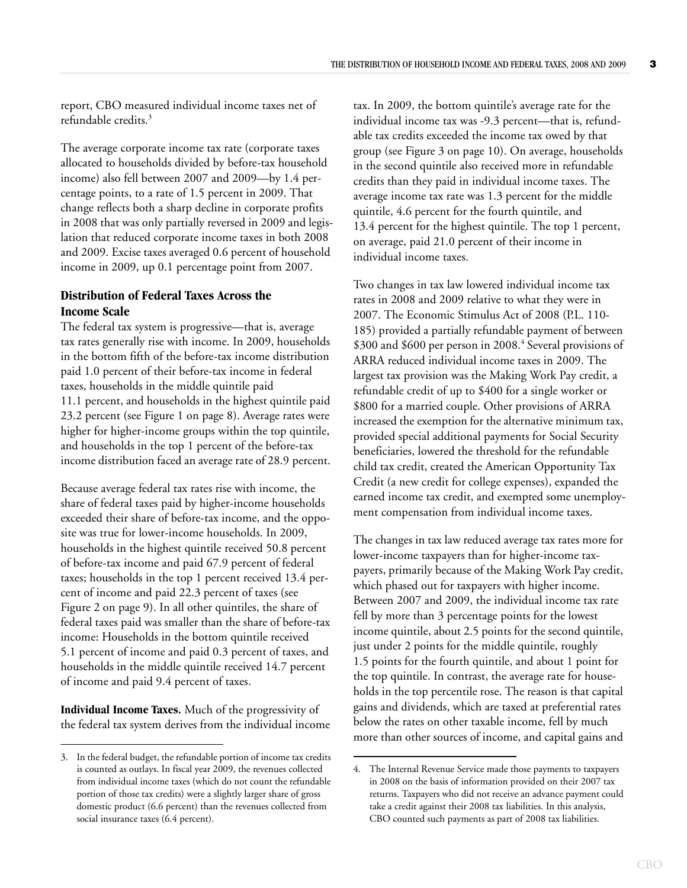report, CBO measured individual income taxes net of refundable credits.<sup>3</sup>

The average corporate income tax rate (corporate taxes allocated to households divided by before-tax household income) also fell between 2007 and 2009—by 1.4 percentage points, to a rate of 1.5 percent in 2009. That change reflects both a sharp decline in corporate profits in 2008 that was only partially reversed in 2009 and legislation that reduced corporate income taxes in both 2008 and 2009. Excise taxes averaged 0.6 percent of household income in 2009, up 0.1 percentage point from 2007.

#### <span id="page-7-0"></span>**Distribution of Federal Taxes Across the Income Scale**

The federal tax system is progressive—that is, average tax rates generally rise with income. In 2009, households in the bottom fifth of the before-tax income distribution paid 1.0 percent of their before-tax income in federal taxes, households in the middle quintile paid 11.1 percent, and households in the highest quintile paid 23.2 percent (see [Figure 1 on page 8\)](#page-12-0). Average rates were higher for higher-income groups within the top quintile, and households in the top 1 percent of the before-tax income distribution faced an average rate of 28.9 percent.

Because average federal tax rates rise with income, the share of federal taxes paid by higher-income households exceeded their share of before-tax income, and the opposite was true for lower-income households. In 2009, households in the highest quintile received 50.8 percent of before-tax income and paid 67.9 percent of federal taxes; households in the top 1 percent received 13.4 percent of income and paid 22.3 percent of taxes (see [Figure 2 on page 9](#page-13-1)). In all other quintiles, the share of federal taxes paid was smaller than the share of before-tax income: Households in the bottom quintile received 5.1 percent of income and paid 0.3 percent of taxes, and households in the middle quintile received 14.7 percent of income and paid 9.4 percent of taxes.

**Individual Income Taxes.** Much of the progressivity of the federal tax system derives from the individual income tax. In 2009, the bottom quintile's average rate for the individual income tax was -9.3 percent—that is, refundable tax credits exceeded the income tax owed by that group (see [Figure 3 on page 10\)](#page-14-1). On average, households in the second quintile also received more in refundable credits than they paid in individual income taxes. The average income tax rate was 1.3 percent for the middle quintile, 4.6 percent for the fourth quintile, and 13.4 percent for the highest quintile. The top 1 percent, on average, paid 21.0 percent of their income in individual income taxes.

Two changes in tax law lowered individual income tax rates in 2008 and 2009 relative to what they were in 2007. The Economic Stimulus Act of 2008 (P.L. 110- 185) provided a partially refundable payment of between \$300 and \$600 per person in 2008.<sup>4</sup> Several provisions of ARRA reduced individual income taxes in 2009. The largest tax provision was the Making Work Pay credit, a refundable credit of up to \$400 for a single worker or \$800 for a married couple. Other provisions of ARRA increased the exemption for the alternative minimum tax, provided special additional payments for Social Security beneficiaries, lowered the threshold for the refundable child tax credit, created the American Opportunity Tax Credit (a new credit for college expenses), expanded the earned income tax credit, and exempted some unemployment compensation from individual income taxes.

The changes in tax law reduced average tax rates more for lower-income taxpayers than for higher-income taxpayers, primarily because of the Making Work Pay credit, which phased out for taxpayers with higher income. Between 2007 and 2009, the individual income tax rate fell by more than 3 percentage points for the lowest income quintile, about 2.5 points for the second quintile, just under 2 points for the middle quintile, roughly 1.5 points for the fourth quintile, and about 1 point for the top quintile. In contrast, the average rate for households in the top percentile rose. The reason is that capital gains and dividends, which are taxed at preferential rates below the rates on other taxable income, fell by much more than other sources of income, and capital gains and

<sup>3.</sup> In the federal budget, the refundable portion of income tax credits is counted as outlays. In fiscal year 2009, the revenues collected from individual income taxes (which do not count the refundable portion of those tax credits) were a slightly larger share of gross domestic product (6.6 percent) than the revenues collected from social insurance taxes (6.4 percent).

<sup>4.</sup> The Internal Revenue Service made those payments to taxpayers in 2008 on the basis of information provided on their 2007 tax returns. Taxpayers who did not receive an advance payment could take a credit against their 2008 tax liabilities. In this analysis, CBO counted such payments as part of 2008 tax liabilities.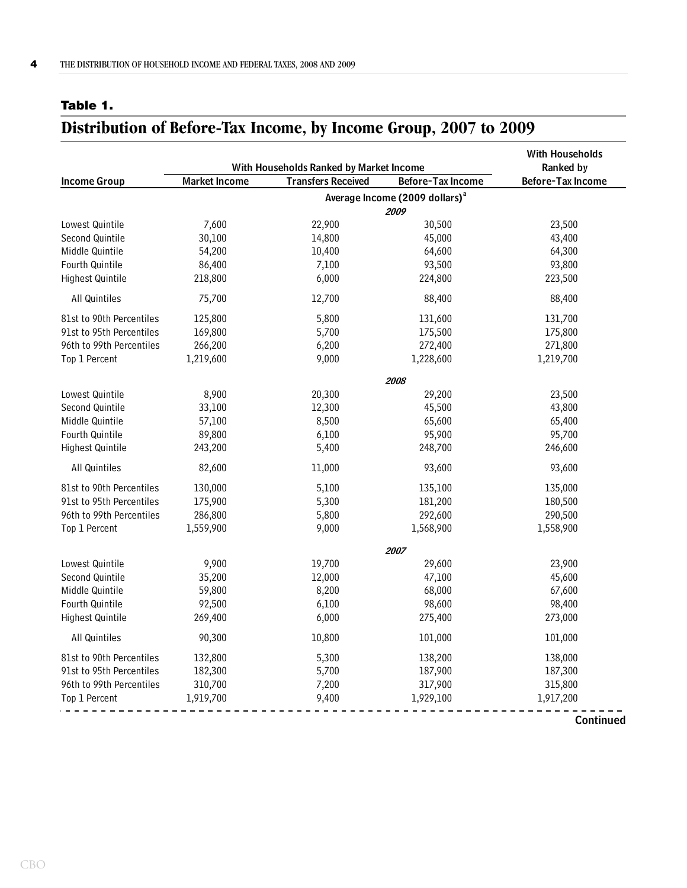## <span id="page-8-0"></span>**Table 1.**

## <span id="page-8-1"></span>**Distribution of Before-Tax Income, by Income Group, 2007 to 2009**

|                          |                      | With Households Ranked by Market Income |                                            | <b>With Households</b><br>Ranked by |
|--------------------------|----------------------|-----------------------------------------|--------------------------------------------|-------------------------------------|
| <b>Income Group</b>      | <b>Market Income</b> | <b>Transfers Received</b>               | Before-Tax Income                          | Before-Tax Income                   |
|                          |                      |                                         | Average Income (2009 dollars) <sup>a</sup> |                                     |
|                          |                      |                                         | 2009                                       |                                     |
| Lowest Quintile          | 7,600                | 22,900                                  | 30,500                                     | 23,500                              |
| Second Quintile          | 30,100               | 14,800                                  | 45,000                                     | 43,400                              |
| Middle Quintile          | 54,200               | 10,400                                  | 64,600                                     | 64,300                              |
| Fourth Quintile          | 86,400               | 7,100                                   | 93,500                                     | 93,800                              |
| <b>Highest Quintile</b>  | 218,800              | 6,000                                   | 224,800                                    | 223,500                             |
| All Quintiles            | 75,700               | 12,700                                  | 88,400                                     | 88,400                              |
| 81st to 90th Percentiles | 125,800              | 5,800                                   | 131,600                                    | 131,700                             |
| 91st to 95th Percentiles | 169,800              | 5,700                                   | 175,500                                    | 175,800                             |
| 96th to 99th Percentiles | 266,200              | 6,200                                   | 272,400                                    | 271,800                             |
| Top 1 Percent            | 1,219,600            | 9,000                                   | 1,228,600                                  | 1,219,700                           |
|                          |                      |                                         | 2008                                       |                                     |
| Lowest Quintile          | 8,900                | 20,300                                  | 29,200                                     | 23,500                              |
| Second Quintile          | 33,100               | 12,300                                  | 45,500                                     | 43,800                              |
| Middle Quintile          | 57,100               | 8,500                                   | 65,600                                     | 65,400                              |
| Fourth Quintile          | 89,800               | 6,100                                   | 95,900                                     | 95,700                              |
| <b>Highest Quintile</b>  | 243,200              | 5,400                                   | 248,700                                    | 246,600                             |
| All Quintiles            | 82,600               | 11,000                                  | 93,600                                     | 93,600                              |
| 81st to 90th Percentiles | 130,000              | 5,100                                   | 135,100                                    | 135,000                             |
| 91st to 95th Percentiles | 175,900              | 5,300                                   | 181,200                                    | 180,500                             |
| 96th to 99th Percentiles | 286,800              | 5,800                                   | 292,600                                    | 290,500                             |
| Top 1 Percent            | 1,559,900            | 9,000                                   | 1,568,900                                  | 1,558,900                           |
|                          |                      |                                         | 2007                                       |                                     |
| Lowest Quintile          | 9,900                | 19,700                                  | 29,600                                     | 23,900                              |
| Second Quintile          | 35,200               | 12,000                                  | 47,100                                     | 45,600                              |
| Middle Quintile          | 59,800               | 8,200                                   | 68,000                                     | 67,600                              |
| Fourth Quintile          | 92,500               | 6,100                                   | 98,600                                     | 98,400                              |
| <b>Highest Quintile</b>  | 269,400              | 6,000                                   | 275,400                                    | 273,000                             |
| All Quintiles            | 90,300               | 10,800                                  | 101,000                                    | 101,000                             |
| 81st to 90th Percentiles | 132,800              | 5,300                                   | 138,200                                    | 138,000                             |
| 91st to 95th Percentiles | 182,300              | 5,700                                   | 187,900                                    | 187,300                             |
| 96th to 99th Percentiles | 310,700              | 7,200                                   | 317,900                                    | 315,800                             |
| Top 1 Percent            | 1,919,700            | 9,400                                   | 1,929,100                                  | 1,917,200                           |
|                          |                      |                                         |                                            |                                     |

**Continued**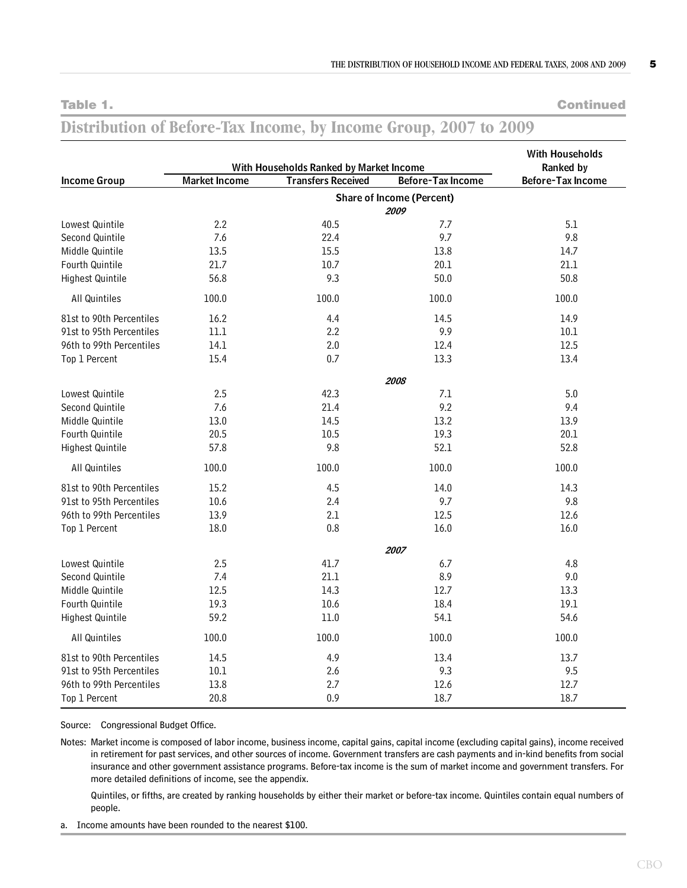**Table 1. Continued**

#### **Income Group** Lowest Quintile 2.2 40.5 7.7 5.1 Second Quintile 7.6 22.4 9.7 9.8 Middle Quintile 13.5 13.5 15.5 13.8 14.7 Fourth Quintile 21.7 21.7 20.1 21.1 21.1 Highest Quintile **56.8** 56.8 50.8 50.9 50.9 50.8 50.8 All Quintiles 100.0 100.0 100.0 100.0 100.0 100.0 100.0 100.0 81st to 90th Percentiles 16.2 16.2 14.4 14.5 14.5 14.9 91st to 95th Percentiles 11.1 2.2 9.9 9.9 10.1 96th to 99th Percentiles 14.1 2.0 12.4 12.5 Top 1 Percent 15.4 15.4 0.7 13.3 13.4 13.4 Lowest Quintile 2.5 42.3 7.1 5.0 Second Quintile **7.6** 21.4 9.2 9.4 9.4 Middle Quintile **13.0** 14.5 13.2 13.9 Fourth Quintile 20.5 10.5 19.3 20.1 Highest Quintile **57.8** 57.8 52.8 52.1 52.8 All Quintiles 100.0 100.0 100.0 100.0 100.0 100.0 100.0 81st to 90th Percentiles 15.2 14.5 14.0 14.3 14.0 14.3 91st to 95th Percentiles 10.6 2.4 9.7 9.8 96th to 99th Percentiles 13.9 12.5 12.6 12.6 12.6 Top 1 Percent 18.0 16.0 16.0 16.0 16.0 16.0 Lowest Quintile 2.5 4.8 4.8 4.8 Second Quintile **7.4** 21.1 8.9 9.0 9.0 Middle Quintile **12.5** 13.3 13.3 12.7 13.3 Fourth Quintile 19.3 10.6 18.4 19.1 Highest Quintile 59.2 59.2 11.0 54.1 54.6 All Quintiles 100.0 100.0 100.0 100.0 100.0 100.0 100.0 81st to 90th Percentiles 14.5 13.7 13.4 13.7 91st to 95th Percentiles 10.1 2.6 9.3 9.5 9.5 9.5 9.5 11 11 12 12 13 13 14 14 15 16 17 17 18 19 19 1 96th to 99th Percentiles 13.8 2.7 12.6 12.7 12.6 12.7 Top 1 Percent 20.8 20.8 0.9 18.7 18.7 18.7 With Households Ranked by Market Income **Ranked by** Ranked by **Market Income Transfers Received Before-Tax Income Before-Tax Income 2007 2009 2008 Share of Income (Percent) With Households**

## **Distribution of Before-Tax Income, by Income Group, 2007 to 2009**

Source: Congressional Budget Office.

Notes: Market income is composed of labor income, business income, capital gains, capital income (excluding capital gains), income received in retirement for past services, and other sources of income. Government transfers are cash payments and in-kind benefits from social insurance and other government assistance programs. Before-tax income is the sum of market income and government transfers. For more detailed definitions of income, see the appendix.

Quintiles, or fifths, are created by ranking households by either their market or before-tax income. Quintiles contain equal numbers of people.

a. Income amounts have been rounded to the nearest \$100.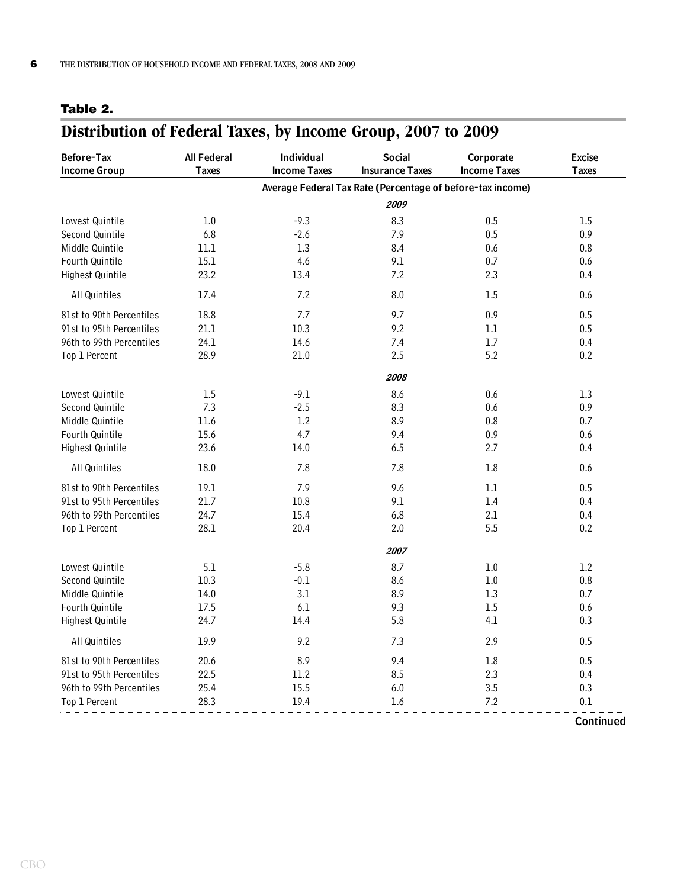### <span id="page-10-0"></span>**Table 2.**

## <span id="page-10-1"></span>**Distribution of Federal Taxes, by Income Group, 2007 to 2009**

| <b>Before-Tax</b>        | <b>All Federal</b> | Individual          | <b>Social</b>                                              | Corporate           | <b>Excise</b>    |
|--------------------------|--------------------|---------------------|------------------------------------------------------------|---------------------|------------------|
| <b>Income Group</b>      | <b>Taxes</b>       | <b>Income Taxes</b> | <b>Insurance Taxes</b>                                     | <b>Income Taxes</b> | <b>Taxes</b>     |
|                          |                    |                     | Average Federal Tax Rate (Percentage of before-tax income) |                     |                  |
|                          |                    |                     | 2009                                                       |                     |                  |
| Lowest Quintile          | 1.0                | $-9.3$              | 8.3                                                        | 0.5                 | 1.5              |
| Second Quintile          | 6.8                | $-2.6$              | 7.9                                                        | 0.5                 | 0.9              |
| Middle Quintile          | 11.1               | 1.3                 | 8.4                                                        | 0.6                 | 0.8              |
| Fourth Quintile          | 15.1               | 4.6                 | 9.1                                                        | 0.7                 | 0.6              |
| Highest Quintile         | 23.2               | 13.4                | 7.2                                                        | 2.3                 | 0.4              |
| All Quintiles            | 17.4               | 7.2                 | 8.0                                                        | 1.5                 | 0.6              |
| 81st to 90th Percentiles | 18.8               | 7.7                 | 9.7                                                        | 0.9                 | 0.5              |
| 91st to 95th Percentiles | 21.1               | 10.3                | 9.2                                                        | $1.1\,$             | 0.5              |
| 96th to 99th Percentiles | 24.1               | 14.6                | 7.4                                                        | 1.7                 | 0.4              |
| Top 1 Percent            | 28.9               | 21.0                | 2.5                                                        | 5.2                 | 0.2              |
|                          |                    |                     | 2008                                                       |                     |                  |
| Lowest Quintile          | 1.5                | $-9.1$              | 8.6                                                        | 0.6                 | 1.3              |
| Second Quintile          | 7.3                | $-2.5$              | 8.3                                                        | 0.6                 | 0.9              |
| Middle Quintile          | 11.6               | 1.2                 | 8.9                                                        | 0.8                 | 0.7              |
| Fourth Quintile          | 15.6               | 4.7                 | 9.4                                                        | 0.9                 | 0.6              |
| <b>Highest Quintile</b>  | 23.6               | 14.0                | 6.5                                                        | 2.7                 | 0.4              |
| All Quintiles            | 18.0               | 7.8                 | 7.8                                                        | 1.8                 | 0.6              |
| 81st to 90th Percentiles | 19.1               | 7.9                 | 9.6                                                        | 1.1                 | 0.5              |
| 91st to 95th Percentiles | 21.7               | 10.8                | 9.1                                                        | 1.4                 | 0.4              |
| 96th to 99th Percentiles | 24.7               | 15.4                | 6.8                                                        | 2.1                 | 0.4              |
| Top 1 Percent            | 28.1               | 20.4                | 2.0                                                        | 5.5                 | 0.2              |
|                          |                    |                     | 2007                                                       |                     |                  |
| Lowest Quintile          | 5.1                | $-5.8$              | 8.7                                                        | 1.0                 | 1.2              |
| Second Quintile          | 10.3               | $-0.1$              | 8.6                                                        | 1.0                 | 0.8              |
| Middle Quintile          | 14.0               | 3.1                 | 8.9                                                        | 1.3                 | 0.7              |
| Fourth Quintile          | 17.5               | 6.1                 | 9.3                                                        | 1.5                 | 0.6              |
| Highest Quintile         | 24.7               | 14.4                | 5.8                                                        | 4.1                 | 0.3              |
| All Quintiles            | 19.9               | 9.2                 | 7.3                                                        | 2.9                 | 0.5              |
| 81st to 90th Percentiles | 20.6               | 8.9                 | 9.4                                                        | 1.8                 | 0.5              |
| 91st to 95th Percentiles | 22.5               | 11.2                | 8.5                                                        | 2.3                 | 0.4              |
| 96th to 99th Percentiles | 25.4               | 15.5                | 6.0                                                        | 3.5                 | 0.3              |
| Top 1 Percent            | 28.3               | 19.4                | 1.6                                                        | 7.2                 | 0.1              |
|                          |                    |                     |                                                            |                     | <b>Continued</b> |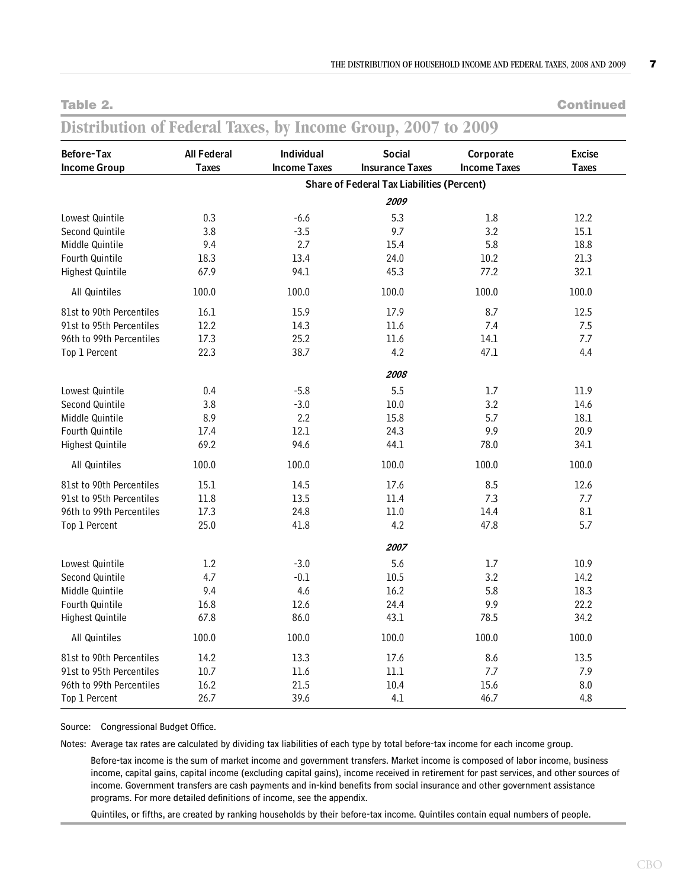**Table 2. Continued**

#### **Distribution of Federal Taxes, by Income Group, 2007 to 2009 Before-Tax Income Group** Lowest Quintile 0.3 -6.6 5.3 1.8 12.2 Second Quintile **3.8** -3.5 9.7 3.2 15.1 Middle Quintile **9.4** 2.7 15.4 5.8 18.8 Fourth Quintile 18.3 13.4 24.0 10.2 21.3 Highest Quintile 67.9 94.1 45.3 77.2 32.1 All Quintiles 100.0 100.0 100.0 100.0 100.0 100.0 100.0 100.0 81st to 90th Percentiles 16.1 15.9 17.9 12.5 12.5 12.5 91st to 95th Percentiles 12.2 14.3 11.6 7.4 7.5 96th to 99th Percentiles 17.3 25.2 11.6 14.1 7.7 Top 1 Percent 22.3 20.3 38.7 4.2 47.1 4.4 Lowest Quintile 0.4 -5.8 5.5 1.7 11.9 Second Quintile 3.8 -3.0 10.0 3.2 14.6 Middle Quintile 8.9 2.2 15.8 5.7 18.1 Fourth Quintile 17.4 12.1 24.3 9.9 20.9 Highest Quintile 69.2 69.2 94.6 44.1 78.0 34.1 All Quintiles 100.0 100.0 100.0 100.0 100.0 100.0 100.0 100.0 81st to 90th Percentiles 15.1 14.5 17.6 8.5 12.6 91st to 95th Percentiles 11.8 13.5 11.4 7.3 7.7 96th to 99th Percentiles 17.3 24.8 11.0 14.4 8.1 Top 1 Percent 25.0 41.8 4.2 47.8 5.7 Lowest Quintile 1.2 -3.0 5.6 1.7 10.9 Second Quintile 4.7 -0.1 10.5 3.2 14.2 Middle Quintile **9.4 4.6** 16.2 5.8 18.3 Fourth Quintile 16.8 12.6 24.4 9.9 22.2 Highest Quintile 67.8 66.0 43.1 78.5 34.2 All Quintiles 100.0 100.0 100.0 100.0 100.0 100.0 100.0 100.0 81st to 90th Percentiles 14.2 13.3 17.6 8.6 13.5 91st to 95th Percentiles 10.7 11.6 11.1 7.7 7.9 7.9 96th to 99th Percentiles  $16.2$  21.5 10.4 15.6 15.6 8.0 **2009 2008 2007 Share of Federal Tax Liabilities (Percent) All Federal Individual Social Corporate Excise Taxes Income Taxes Insurance Taxes Income Taxes Taxes**

Source: Congressional Budget Office.

Notes: Average tax rates are calculated by dividing tax liabilities of each type by total before-tax income for each income group.

Top 1 Percent 26.7 39.6 4.1 46.7 4.8

Before-tax income is the sum of market income and government transfers. Market income is composed of labor income, business income, capital gains, capital income (excluding capital gains), income received in retirement for past services, and other sources of income. Government transfers are cash payments and in-kind benefits from social insurance and other government assistance programs. For more detailed definitions of income, see the appendix.

Quintiles, or fifths, are created by ranking households by their before-tax income. Quintiles contain equal numbers of people.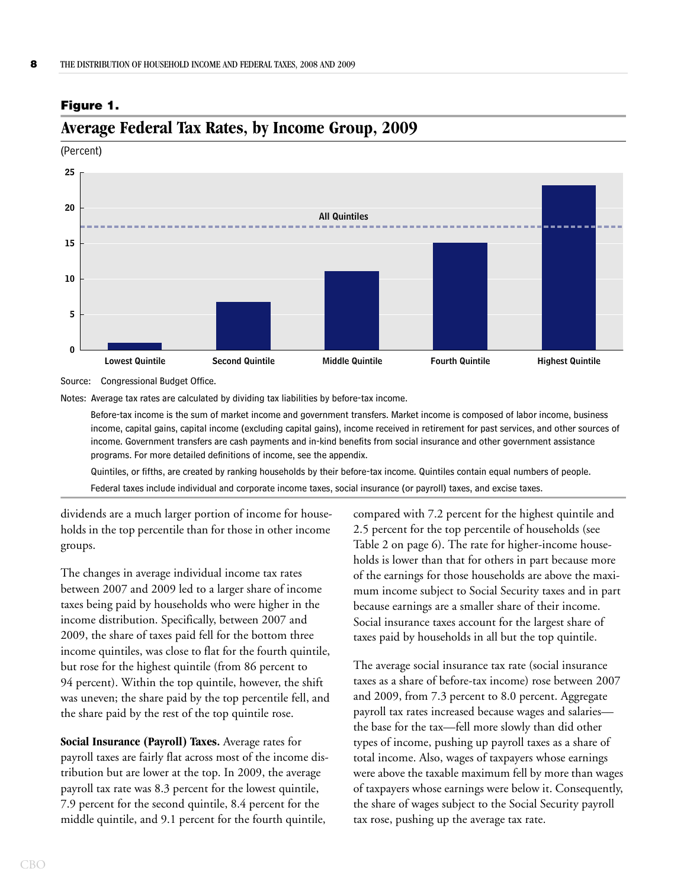

## <span id="page-12-1"></span>**Average Federal Tax Rates, by Income Group, 2009**

(Percent)

<span id="page-12-0"></span>**Figure 1.**

Source: Congressional Budget Office.

Notes: Average tax rates are calculated by dividing tax liabilities by before-tax income.

Before-tax income is the sum of market income and government transfers. Market income is composed of labor income, business income, capital gains, capital income (excluding capital gains), income received in retirement for past services, and other sources of income. Government transfers are cash payments and in-kind benefits from social insurance and other government assistance programs. For more detailed definitions of income, see the appendix.

Quintiles, or fifths, are created by ranking households by their before-tax income. Quintiles contain equal numbers of people. Federal taxes include individual and corporate income taxes, social insurance (or payroll) taxes, and excise taxes.

dividends are a much larger portion of income for households in the top percentile than for those in other income groups.

The changes in average individual income tax rates between 2007 and 2009 led to a larger share of income taxes being paid by households who were higher in the income distribution. Specifically, between 2007 and 2009, the share of taxes paid fell for the bottom three income quintiles, was close to flat for the fourth quintile, but rose for the highest quintile (from 86 percent to 94 percent). Within the top quintile, however, the shift was uneven; the share paid by the top percentile fell, and the share paid by the rest of the top quintile rose.

**Social Insurance (Payroll) Taxes.** Average rates for payroll taxes are fairly flat across most of the income distribution but are lower at the top. In 2009, the average payroll tax rate was 8.3 percent for the lowest quintile, 7.9 percent for the second quintile, 8.4 percent for the middle quintile, and 9.1 percent for the fourth quintile,

compared with 7.2 percent for the highest quintile and 2.5 percent for the top percentile of households (see [Table 2 on page 6](#page-10-0)). The rate for higher-income households is lower than that for others in part because more of the earnings for those households are above the maximum income subject to Social Security taxes and in part because earnings are a smaller share of their income. Social insurance taxes account for the largest share of taxes paid by households in all but the top quintile.

The average social insurance tax rate (social insurance taxes as a share of before-tax income) rose between 2007 and 2009, from 7.3 percent to 8.0 percent. Aggregate payroll tax rates increased because wages and salaries the base for the tax—fell more slowly than did other types of income, pushing up payroll taxes as a share of total income. Also, wages of taxpayers whose earnings were above the taxable maximum fell by more than wages of taxpayers whose earnings were below it. Consequently, the share of wages subject to the Social Security payroll tax rose, pushing up the average tax rate.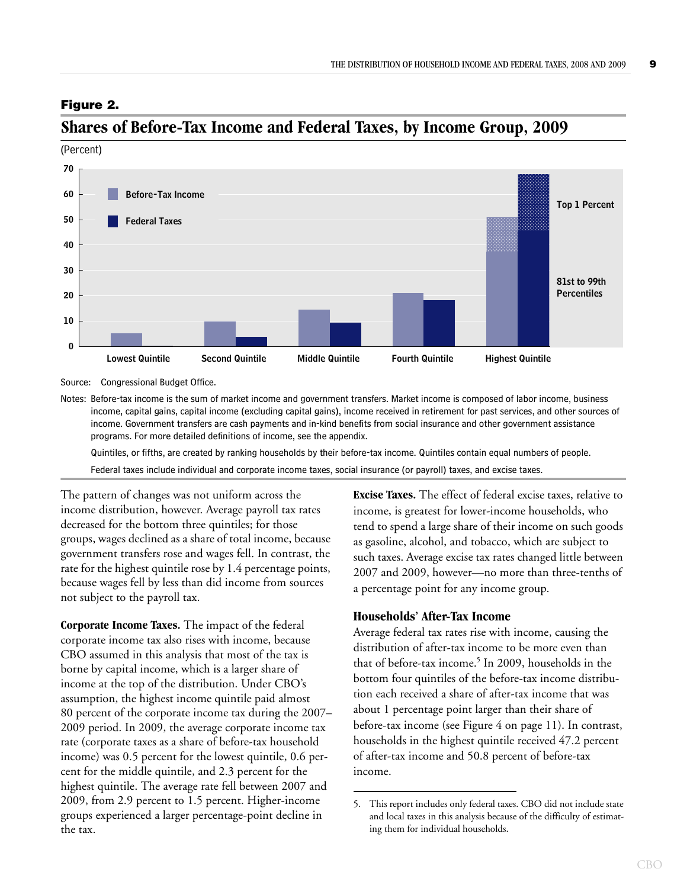#### <span id="page-13-1"></span>**Figure 2.**



## <span id="page-13-2"></span>**Shares of Before-Tax Income and Federal Taxes, by Income Group, 2009**

Source: Congressional Budget Office.

Notes: Before-tax income is the sum of market income and government transfers. Market income is composed of labor income, business income, capital gains, capital income (excluding capital gains), income received in retirement for past services, and other sources of income. Government transfers are cash payments and in-kind benefits from social insurance and other government assistance programs. For more detailed definitions of income, see the appendix.

Quintiles, or fifths, are created by ranking households by their before-tax income. Quintiles contain equal numbers of people. Federal taxes include individual and corporate income taxes, social insurance (or payroll) taxes, and excise taxes.

The pattern of changes was not uniform across the income distribution, however. Average payroll tax rates decreased for the bottom three quintiles; for those groups, wages declined as a share of total income, because government transfers rose and wages fell. In contrast, the rate for the highest quintile rose by 1.4 percentage points, because wages fell by less than did income from sources not subject to the payroll tax.

**Corporate Income Taxes.** The impact of the federal corporate income tax also rises with income, because CBO assumed in this analysis that most of the tax is borne by capital income, which is a larger share of income at the top of the distribution. Under CBO's assumption, the highest income quintile paid almost 80 percent of the corporate income tax during the 2007– 2009 period. In 2009, the average corporate income tax rate (corporate taxes as a share of before-tax household income) was 0.5 percent for the lowest quintile, 0.6 percent for the middle quintile, and 2.3 percent for the highest quintile. The average rate fell between 2007 and 2009, from 2.9 percent to 1.5 percent. Higher-income groups experienced a larger percentage-point decline in the tax.

**Excise Taxes.** The effect of federal excise taxes, relative to income, is greatest for lower-income households, who tend to spend a large share of their income on such goods as gasoline, alcohol, and tobacco, which are subject to such taxes. Average excise tax rates changed little between 2007 and 2009, however—no more than three-tenths of a percentage point for any income group.

#### <span id="page-13-0"></span>**Households' After-Tax Income**

Average federal tax rates rise with income, causing the distribution of after-tax income to be more even than that of before-tax income.<sup>5</sup> In 2009, households in the bottom four quintiles of the before-tax income distribution each received a share of after-tax income that was about 1 percentage point larger than their share of before-tax income (see [Figure 4 on page 11](#page-15-1)). In contrast, households in the highest quintile received 47.2 percent of after-tax income and 50.8 percent of before-tax income.

<sup>5.</sup> This report includes only federal taxes. CBO did not include state and local taxes in this analysis because of the difficulty of estimating them for individual households.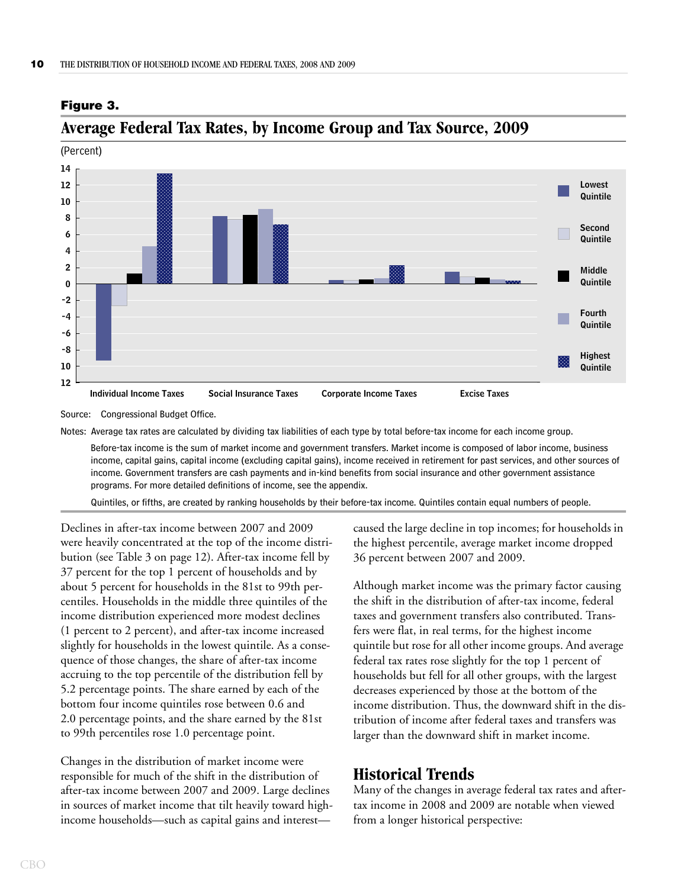

## <span id="page-14-2"></span>**Average Federal Tax Rates, by Income Group and Tax Source, 2009**

Source: Congressional Budget Office.

<span id="page-14-1"></span>**Figure 3.**

Notes: Average tax rates are calculated by dividing tax liabilities of each type by total before-tax income for each income group.

Before-tax income is the sum of market income and government transfers. Market income is composed of labor income, business income, capital gains, capital income (excluding capital gains), income received in retirement for past services, and other sources of income. Government transfers are cash payments and in-kind benefits from social insurance and other government assistance programs. For more detailed definitions of income, see the appendix.

Quintiles, or fifths, are created by ranking households by their before-tax income. Quintiles contain equal numbers of people.

Declines in after-tax income between 2007 and 2009 were heavily concentrated at the top of the income distribution (see [Table 3 on page 12\)](#page-16-0). After-tax income fell by 37 percent for the top 1 percent of households and by about 5 percent for households in the 81st to 99th percentiles. Households in the middle three quintiles of the income distribution experienced more modest declines (1 percent to 2 percent), and after-tax income increased slightly for households in the lowest quintile. As a consequence of those changes, the share of after-tax income accruing to the top percentile of the distribution fell by 5.2 percentage points. The share earned by each of the bottom four income quintiles rose between 0.6 and 2.0 percentage points, and the share earned by the 81st to 99th percentiles rose 1.0 percentage point.

Changes in the distribution of market income were responsible for much of the shift in the distribution of after-tax income between 2007 and 2009. Large declines in sources of market income that tilt heavily toward highincome households—such as capital gains and interestcaused the large decline in top incomes; for households in the highest percentile, average market income dropped 36 percent between 2007 and 2009.

Although market income was the primary factor causing the shift in the distribution of after-tax income, federal taxes and government transfers also contributed. Transfers were flat, in real terms, for the highest income quintile but rose for all other income groups. And average federal tax rates rose slightly for the top 1 percent of households but fell for all other groups, with the largest decreases experienced by those at the bottom of the income distribution. Thus, the downward shift in the distribution of income after federal taxes and transfers was larger than the downward shift in market income.

## <span id="page-14-0"></span>**Historical Trends**

Many of the changes in average federal tax rates and aftertax income in 2008 and 2009 are notable when viewed from a longer historical perspective: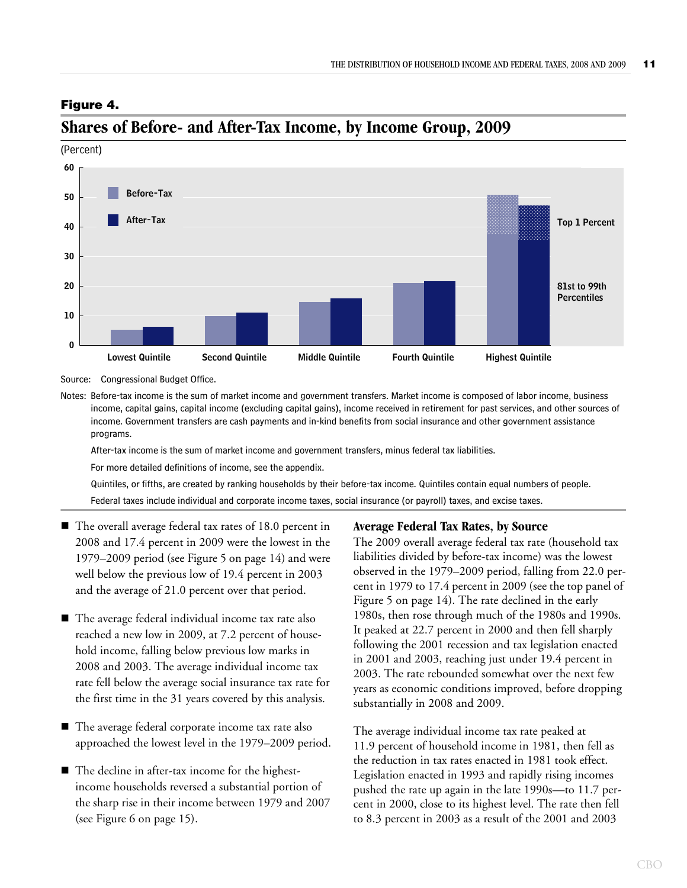## (Percent) **0 10 20 30 40 50 60 Lowest Quintile Second Quintile Middle Quintile Fourth Quintile Highest Quintile Top 1 Percent 81st to 99th Percentiles Before-Tax After-Tax**

#### <span id="page-15-1"></span>**Figure 4.**



## <span id="page-15-2"></span>**Shares of Before- and After-Tax Income, by Income Group, 2009**

Source: Congressional Budget Office.

Notes: Before-tax income is the sum of market income and government transfers. Market income is composed of labor income, business income, capital gains, capital income (excluding capital gains), income received in retirement for past services, and other sources of income. Government transfers are cash payments and in-kind benefits from social insurance and other government assistance programs.

After-tax income is the sum of market income and government transfers, minus federal tax liabilities.

For more detailed definitions of income, see the appendix.

Quintiles, or fifths, are created by ranking households by their before-tax income. Quintiles contain equal numbers of people.

Federal taxes include individual and corporate income taxes, social insurance (or payroll) taxes, and excise taxes.

- The overall average federal tax rates of 18.0 percent in 2008 and 17.4 percent in 2009 were the lowest in the 1979–2009 period (see [Figure 5 on page 14\)](#page-18-1) and were well below the previous low of 19.4 percent in 2003 and the average of 21.0 percent over that period.
- The average federal individual income tax rate also reached a new low in 2009, at 7.2 percent of household income, falling below previous low marks in 2008 and 2003. The average individual income tax rate fell below the average social insurance tax rate for the first time in the 31 years covered by this analysis.
- The average federal corporate income tax rate also approached the lowest level in the 1979–2009 period.
- The decline in after-tax income for the highestincome households reversed a substantial portion of the sharp rise in their income between 1979 and 2007 (see [Figure 6 on page 15](#page-19-0)).

### <span id="page-15-0"></span>**Average Federal Tax Rates, by Source**

The 2009 overall average federal tax rate (household tax liabilities divided by before-tax income) was the lowest observed in the 1979–2009 period, falling from 22.0 percent in 1979 to 17.4 percent in 2009 (see the top panel of [Figure 5 on page 14\)](#page-18-1). The rate declined in the early 1980s, then rose through much of the 1980s and 1990s. It peaked at 22.7 percent in 2000 and then fell sharply following the 2001 recession and tax legislation enacted in 2001 and 2003, reaching just under 19.4 percent in 2003. The rate rebounded somewhat over the next few years as economic conditions improved, before dropping substantially in 2008 and 2009.

The average individual income tax rate peaked at 11.9 percent of household income in 1981, then fell as the reduction in tax rates enacted in 1981 took effect. Legislation enacted in 1993 and rapidly rising incomes pushed the rate up again in the late 1990s—to 11.7 percent in 2000, close to its highest level. The rate then fell to 8.3 percent in 2003 as a result of the 2001 and 2003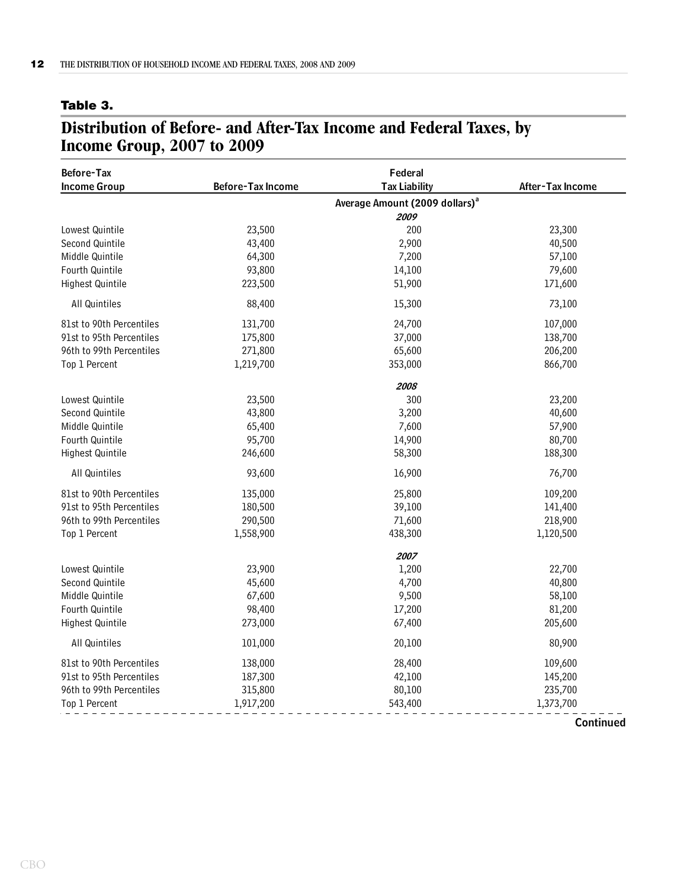#### <span id="page-16-0"></span>**Table 3.**

## **Distribution of Before- and After-Tax Income and Federal Taxes, by Income Group, 2007 to 2009**

| <b>Before-Tax</b><br><b>Income Group</b> | <b>Before-Tax Income</b> | Federal<br><b>Tax Liability</b>            | After-Tax Income |
|------------------------------------------|--------------------------|--------------------------------------------|------------------|
|                                          |                          | Average Amount (2009 dollars) <sup>a</sup> |                  |
|                                          |                          | 2009                                       |                  |
| Lowest Quintile                          | 23,500                   | 200                                        | 23,300           |
| Second Quintile                          | 43,400                   | 2,900                                      | 40,500           |
| Middle Quintile                          | 64,300                   | 7,200                                      | 57,100           |
| Fourth Quintile                          | 93,800                   | 14,100                                     | 79,600           |
| Highest Quintile                         | 223,500                  | 51,900                                     | 171,600          |
| All Quintiles                            | 88,400                   | 15,300                                     | 73,100           |
| 81st to 90th Percentiles                 | 131,700                  | 24,700                                     | 107,000          |
| 91st to 95th Percentiles                 | 175,800                  | 37,000                                     | 138,700          |
| 96th to 99th Percentiles                 | 271,800                  | 65,600                                     | 206,200          |
| Top 1 Percent                            | 1,219,700                | 353,000                                    | 866,700          |
|                                          |                          | 2008                                       |                  |
| Lowest Quintile                          | 23,500                   | 300                                        | 23,200           |
| Second Quintile                          | 43,800                   | 3,200                                      | 40,600           |
| Middle Quintile                          | 65,400                   | 7,600                                      | 57,900           |
| Fourth Quintile                          | 95,700                   | 14,900                                     | 80,700           |
| Highest Quintile                         | 246,600                  | 58,300                                     | 188,300          |
| All Quintiles                            | 93,600                   | 16,900                                     | 76,700           |
| 81st to 90th Percentiles                 | 135,000                  | 25,800                                     | 109,200          |
| 91st to 95th Percentiles                 | 180,500                  | 39,100                                     | 141,400          |
| 96th to 99th Percentiles                 | 290,500                  | 71,600                                     | 218,900          |
| Top 1 Percent                            | 1,558,900                | 438,300                                    | 1,120,500        |
|                                          |                          | 2007                                       |                  |
| Lowest Quintile                          | 23,900                   | 1,200                                      | 22,700           |
| Second Quintile                          | 45,600                   | 4,700                                      | 40,800           |
| Middle Quintile                          | 67,600                   | 9,500                                      | 58,100           |
| Fourth Quintile                          | 98,400                   | 17,200                                     | 81,200           |
| <b>Highest Quintile</b>                  | 273,000                  | 67,400                                     | 205,600          |
| All Quintiles                            | 101,000                  | 20,100                                     | 80,900           |
| 81st to 90th Percentiles                 | 138,000                  | 28,400                                     | 109,600          |
| 91st to 95th Percentiles                 | 187,300                  | 42,100                                     | 145,200          |
| 96th to 99th Percentiles                 | 315,800                  | 80,100                                     | 235,700          |
| Top 1 Percent                            | 1,917,200                | 543,400                                    | 1,373,700        |
|                                          |                          |                                            |                  |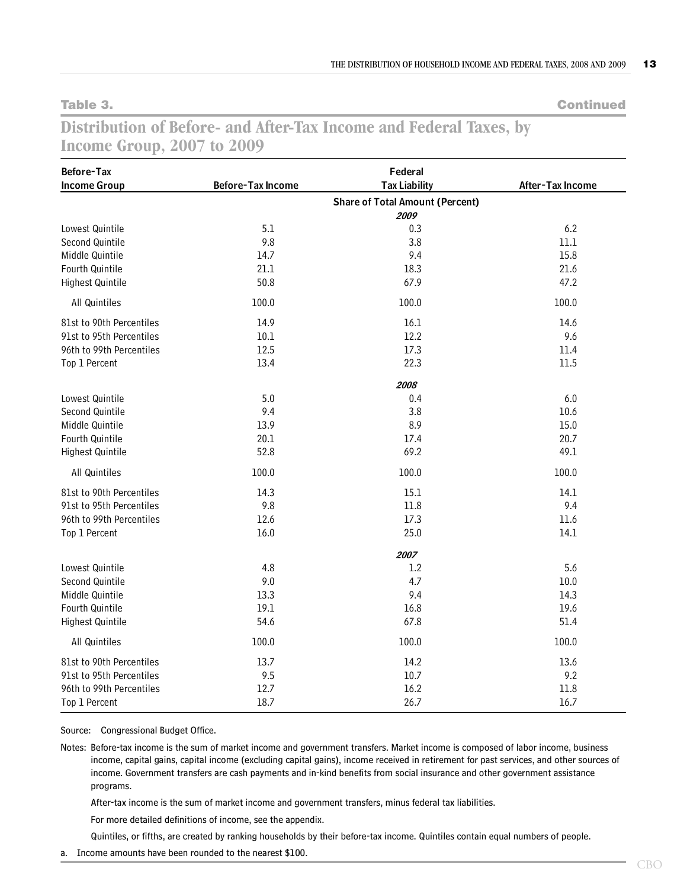**Table 3. Continued**

## **Distribution of Before- and After-Tax Income and Federal Taxes, by Income Group, 2007 to 2009**

| Before-Tax               |                          | Federal                                |                  |
|--------------------------|--------------------------|----------------------------------------|------------------|
| <b>Income Group</b>      | <b>Before-Tax Income</b> | <b>Tax Liability</b>                   | After-Tax Income |
|                          |                          | <b>Share of Total Amount (Percent)</b> |                  |
|                          |                          | 2009                                   |                  |
| Lowest Quintile          | 5.1                      | 0.3                                    | 6.2              |
| Second Quintile          | 9.8                      | 3.8                                    | $11.1$           |
| Middle Quintile          | 14.7                     | 9.4                                    | 15.8             |
| Fourth Quintile          | 21.1                     | 18.3                                   | 21.6             |
| Highest Quintile         | 50.8                     | 67.9                                   | 47.2             |
| All Quintiles            | 100.0                    | 100.0                                  | 100.0            |
| 81st to 90th Percentiles | 14.9                     | 16.1                                   | 14.6             |
| 91st to 95th Percentiles | 10.1                     | 12.2                                   | 9.6              |
| 96th to 99th Percentiles | 12.5                     | 17.3                                   | 11.4             |
| Top 1 Percent            | 13.4                     | 22.3                                   | 11.5             |
|                          |                          | 2008                                   |                  |
| Lowest Quintile          | 5.0                      | 0.4                                    | $6.0\,$          |
| Second Quintile          | 9.4                      | 3.8                                    | 10.6             |
| Middle Quintile          | 13.9                     | 8.9                                    | 15.0             |
| Fourth Quintile          | 20.1                     | 17.4                                   | 20.7             |
| Highest Quintile         | 52.8                     | 69.2                                   | 49.1             |
| All Quintiles            | 100.0                    | 100.0                                  | 100.0            |
| 81st to 90th Percentiles | 14.3                     | 15.1                                   | 14.1             |
| 91st to 95th Percentiles | 9.8                      | 11.8                                   | 9.4              |
| 96th to 99th Percentiles | 12.6                     | 17.3                                   | 11.6             |
| Top 1 Percent            | 16.0                     | 25.0                                   | 14.1             |
|                          |                          | 2007                                   |                  |
| Lowest Quintile          | 4.8                      | 1.2                                    | 5.6              |
| Second Quintile          | 9.0                      | 4.7                                    | $10.0$           |
| Middle Quintile          | 13.3                     | 9.4                                    | 14.3             |
| Fourth Quintile          | 19.1                     | 16.8                                   | 19.6             |
| Highest Quintile         | 54.6                     | 67.8                                   | 51.4             |
| All Quintiles            | 100.0                    | 100.0                                  | 100.0            |
| 81st to 90th Percentiles | 13.7                     | 14.2                                   | 13.6             |
| 91st to 95th Percentiles | 9.5                      | 10.7                                   | 9.2              |
| 96th to 99th Percentiles | 12.7                     | 16.2                                   | 11.8             |
| Top 1 Percent            | 18.7                     | 26.7                                   | 16.7             |

Source: Congressional Budget Office.

Notes: Before-tax income is the sum of market income and government transfers. Market income is composed of labor income, business income, capital gains, capital income (excluding capital gains), income received in retirement for past services, and other sources of income. Government transfers are cash payments and in-kind benefits from social insurance and other government assistance programs.

After-tax income is the sum of market income and government transfers, minus federal tax liabilities.

For more detailed definitions of income, see the appendix.

Quintiles, or fifths, are created by ranking households by their before-tax income. Quintiles contain equal numbers of people.

a. Income amounts have been rounded to the nearest \$100.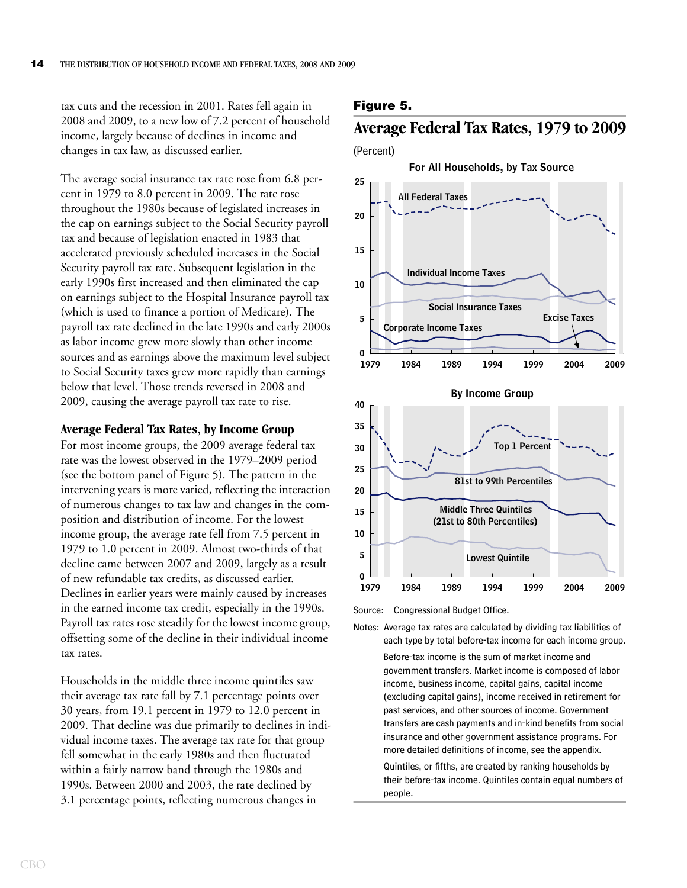tax cuts and the recession in 2001. Rates fell again in 2008 and 2009, to a new low of 7.2 percent of household income, largely because of declines in income and changes in tax law, as discussed earlier.

The average social insurance tax rate rose from 6.8 percent in 1979 to 8.0 percent in 2009. The rate rose throughout the 1980s because of legislated increases in the cap on earnings subject to the Social Security payroll tax and because of legislation enacted in 1983 that accelerated previously scheduled increases in the Social Security payroll tax rate. Subsequent legislation in the early 1990s first increased and then eliminated the cap on earnings subject to the Hospital Insurance payroll tax (which is used to finance a portion of Medicare). The payroll tax rate declined in the late 1990s and early 2000s as labor income grew more slowly than other income sources and as earnings above the maximum level subject to Social Security taxes grew more rapidly than earnings below that level. Those trends reversed in 2008 and 2009, causing the average payroll tax rate to rise.

#### <span id="page-18-0"></span>**Average Federal Tax Rates, by Income Group**

For most income groups, the 2009 average federal tax rate was the lowest observed in the 1979–2009 period (see the bottom panel of [Figure 5\)](#page-18-1). The pattern in the intervening years is more varied, reflecting the interaction of numerous changes to tax law and changes in the composition and distribution of income. For the lowest income group, the average rate fell from 7.5 percent in 1979 to 1.0 percent in 2009. Almost two-thirds of that decline came between 2007 and 2009, largely as a result of new refundable tax credits, as discussed earlier. Declines in earlier years were mainly caused by increases in the earned income tax credit, especially in the 1990s. Payroll tax rates rose steadily for the lowest income group, offsetting some of the decline in their individual income tax rates.

Households in the middle three income quintiles saw their average tax rate fall by 7.1 percentage points over 30 years, from 19.1 percent in 1979 to 12.0 percent in 2009. That decline was due primarily to declines in individual income taxes. The average tax rate for that group fell somewhat in the early 1980s and then fluctuated within a fairly narrow band through the 1980s and 1990s. Between 2000 and 2003, the rate declined by 3.1 percentage points, reflecting numerous changes in

#### <span id="page-18-1"></span>**Figure 5.**

## <span id="page-18-2"></span>**Average Federal Tax Rates, 1979 to 2009**



Source: Congressional Budget Office.

Notes: Average tax rates are calculated by dividing tax liabilities of each type by total before-tax income for each income group.

> Before-tax income is the sum of market income and government transfers. Market income is composed of labor income, business income, capital gains, capital income (excluding capital gains), income received in retirement for past services, and other sources of income. Government transfers are cash payments and in-kind benefits from social insurance and other government assistance programs. For more detailed definitions of income, see the appendix.

> Quintiles, or fifths, are created by ranking households by their before-tax income. Quintiles contain equal numbers of people.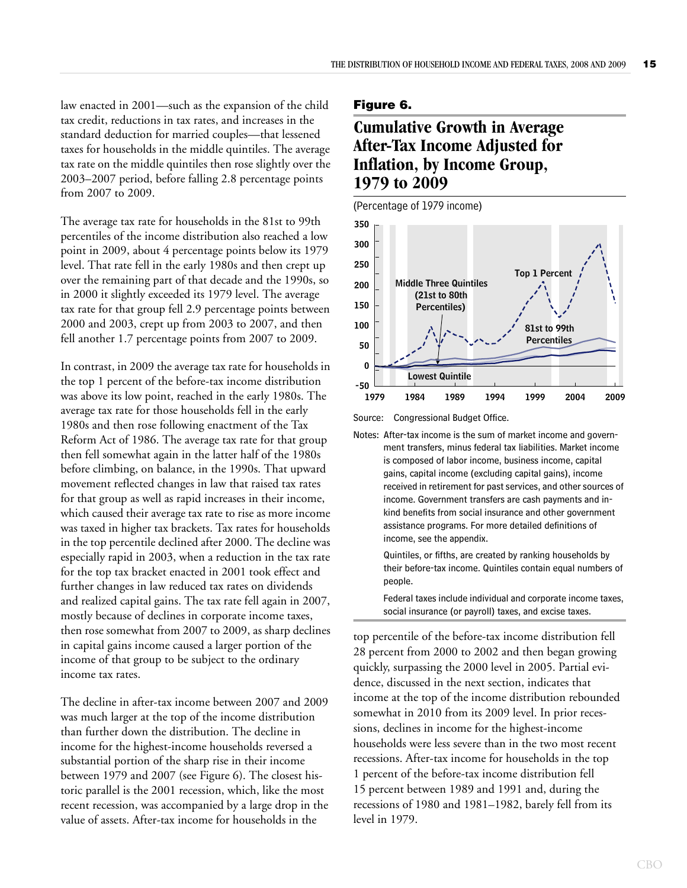law enacted in 2001—such as the expansion of the child tax credit, reductions in tax rates, and increases in the standard deduction for married couples—that lessened taxes for households in the middle quintiles. The average tax rate on the middle quintiles then rose slightly over the 2003–2007 period, before falling 2.8 percentage points from 2007 to 2009.

The average tax rate for households in the 81st to 99th percentiles of the income distribution also reached a low point in 2009, about 4 percentage points below its 1979 level. That rate fell in the early 1980s and then crept up over the remaining part of that decade and the 1990s, so in 2000 it slightly exceeded its 1979 level. The average tax rate for that group fell 2.9 percentage points between 2000 and 2003, crept up from 2003 to 2007, and then fell another 1.7 percentage points from 2007 to 2009.

In contrast, in 2009 the average tax rate for households in the top 1 percent of the before-tax income distribution was above its low point, reached in the early 1980s. The average tax rate for those households fell in the early 1980s and then rose following enactment of the Tax Reform Act of 1986. The average tax rate for that group then fell somewhat again in the latter half of the 1980s before climbing, on balance, in the 1990s. That upward movement reflected changes in law that raised tax rates for that group as well as rapid increases in their income, which caused their average tax rate to rise as more income was taxed in higher tax brackets. Tax rates for households in the top percentile declined after 2000. The decline was especially rapid in 2003, when a reduction in the tax rate for the top tax bracket enacted in 2001 took effect and further changes in law reduced tax rates on dividends and realized capital gains. The tax rate fell again in 2007, mostly because of declines in corporate income taxes, then rose somewhat from 2007 to 2009, as sharp declines in capital gains income caused a larger portion of the income of that group to be subject to the ordinary income tax rates.

The decline in after-tax income between 2007 and 2009 was much larger at the top of the income distribution than further down the distribution. The decline in income for the highest-income households reversed a substantial portion of the sharp rise in their income between 1979 and 2007 (see [Figure 6\)](#page-19-0). The closest historic parallel is the 2001 recession, which, like the most recent recession, was accompanied by a large drop in the value of assets. After-tax income for households in the

#### <span id="page-19-0"></span>**Figure 6.**

## <span id="page-19-1"></span>**Cumulative Growth in Average After-Tax Income Adjusted for Inflation, by Income Group, 1979 to 2009**



Source: Congressional Budget Office.

Notes: After-tax income is the sum of market income and government transfers, minus federal tax liabilities. Market income is composed of labor income, business income, capital gains, capital income (excluding capital gains), income received in retirement for past services, and other sources of income. Government transfers are cash payments and inkind benefits from social insurance and other government assistance programs. For more detailed definitions of income, see the appendix.

> Quintiles, or fifths, are created by ranking households by their before-tax income. Quintiles contain equal numbers of people.

Federal taxes include individual and corporate income taxes, social insurance (or payroll) taxes, and excise taxes.

top percentile of the before-tax income distribution fell 28 percent from 2000 to 2002 and then began growing quickly, surpassing the 2000 level in 2005. Partial evidence, discussed in the next section, indicates that income at the top of the income distribution rebounded somewhat in 2010 from its 2009 level. In prior recessions, declines in income for the highest-income households were less severe than in the two most recent recessions. After-tax income for households in the top 1 percent of the before-tax income distribution fell 15 percent between 1989 and 1991 and, during the recessions of 1980 and 1981–1982, barely fell from its level in 1979.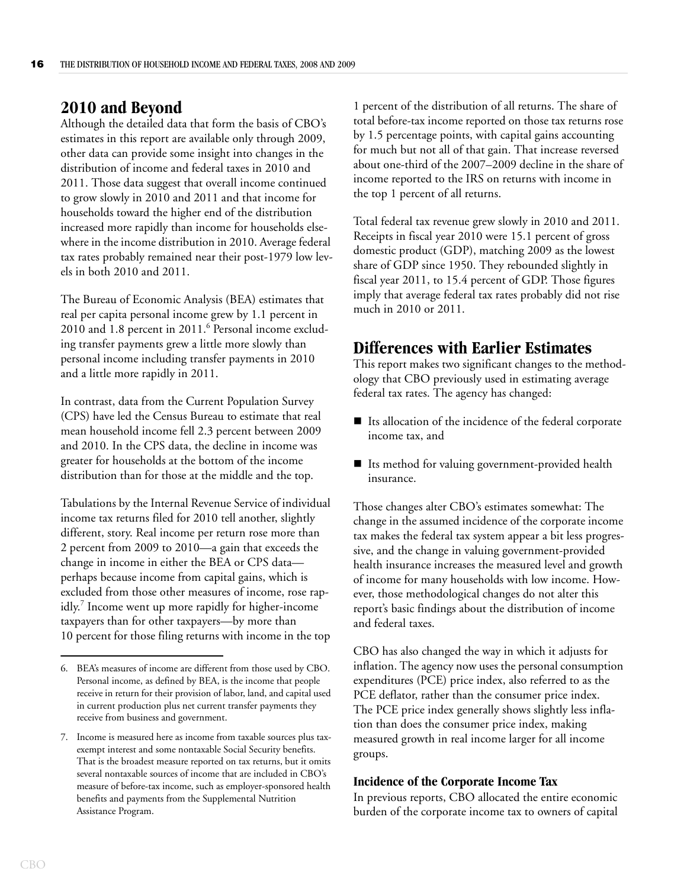## <span id="page-20-0"></span>**2010 and Beyond**

Although the detailed data that form the basis of CBO's estimates in this report are available only through 2009, other data can provide some insight into changes in the distribution of income and federal taxes in 2010 and 2011. Those data suggest that overall income continued to grow slowly in 2010 and 2011 and that income for households toward the higher end of the distribution increased more rapidly than income for households elsewhere in the income distribution in 2010. Average federal tax rates probably remained near their post-1979 low levels in both 2010 and 2011.

The Bureau of Economic Analysis (BEA) estimates that real per capita personal income grew by 1.1 percent in 2010 and 1.8 percent in 2011.<sup>6</sup> Personal income excluding transfer payments grew a little more slowly than personal income including transfer payments in 2010 and a little more rapidly in 2011.

In contrast, data from the Current Population Survey (CPS) have led the Census Bureau to estimate that real mean household income fell 2.3 percent between 2009 and 2010. In the CPS data, the decline in income was greater for households at the bottom of the income distribution than for those at the middle and the top.

Tabulations by the Internal Revenue Service of individual income tax returns filed for 2010 tell another, slightly different, story. Real income per return rose more than 2 percent from 2009 to 2010—a gain that exceeds the change in income in either the BEA or CPS data perhaps because income from capital gains, which is excluded from those other measures of income, rose rapidly.<sup>7</sup> Income went up more rapidly for higher-income taxpayers than for other taxpayers—by more than 10 percent for those filing returns with income in the top

1 percent of the distribution of all returns. The share of total before-tax income reported on those tax returns rose by 1.5 percentage points, with capital gains accounting for much but not all of that gain. That increase reversed about one-third of the 2007–2009 decline in the share of income reported to the IRS on returns with income in the top 1 percent of all returns.

Total federal tax revenue grew slowly in 2010 and 2011. Receipts in fiscal year 2010 were 15.1 percent of gross domestic product (GDP), matching 2009 as the lowest share of GDP since 1950. They rebounded slightly in fiscal year 2011, to 15.4 percent of GDP. Those figures imply that average federal tax rates probably did not rise much in 2010 or 2011.

## <span id="page-20-1"></span>**Differences with Earlier Estimates**

This report makes two significant changes to the methodology that CBO previously used in estimating average federal tax rates. The agency has changed:

- $\blacksquare$  Its allocation of the incidence of the federal corporate income tax, and
- Its method for valuing government-provided health insurance.

Those changes alter CBO's estimates somewhat: The change in the assumed incidence of the corporate income tax makes the federal tax system appear a bit less progressive, and the change in valuing government-provided health insurance increases the measured level and growth of income for many households with low income. However, those methodological changes do not alter this report's basic findings about the distribution of income and federal taxes.

CBO has also changed the way in which it adjusts for inflation. The agency now uses the personal consumption expenditures (PCE) price index, also referred to as the PCE deflator, rather than the consumer price index. The PCE price index generally shows slightly less inflation than does the consumer price index, making measured growth in real income larger for all income groups.

#### <span id="page-20-2"></span>**Incidence of the Corporate Income Tax**

In previous reports, CBO allocated the entire economic burden of the corporate income tax to owners of capital

<sup>6.</sup> BEA's measures of income are different from those used by CBO. Personal income, as defined by BEA, is the income that people receive in return for their provision of labor, land, and capital used in current production plus net current transfer payments they receive from business and government.

<sup>7.</sup> Income is measured here as income from taxable sources plus taxexempt interest and some nontaxable Social Security benefits. That is the broadest measure reported on tax returns, but it omits several nontaxable sources of income that are included in CBO's measure of before-tax income, such as employer-sponsored health benefits and payments from the Supplemental Nutrition Assistance Program.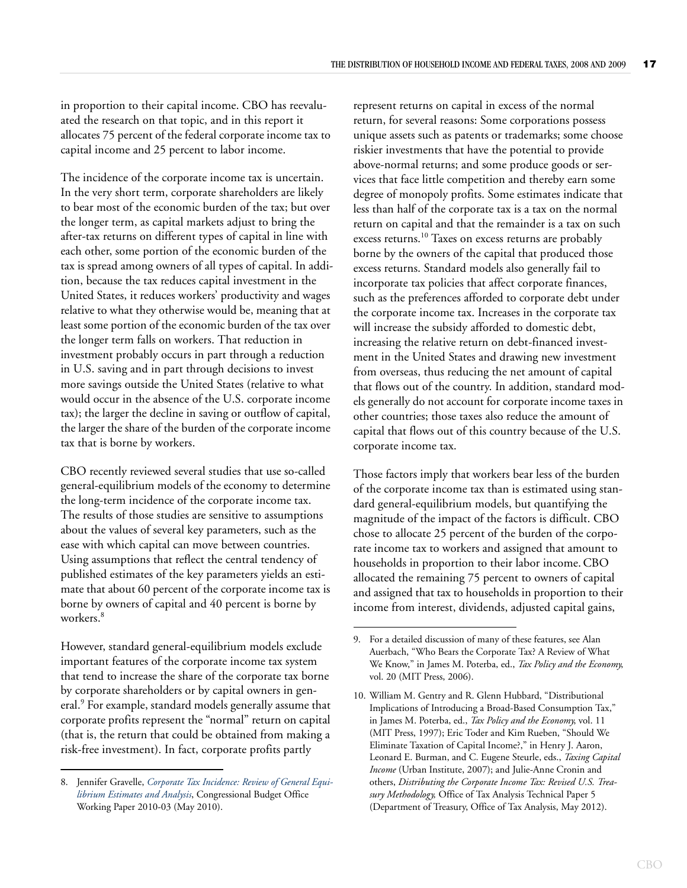in proportion to their capital income. CBO has reevaluated the research on that topic, and in this report it allocates 75 percent of the federal corporate income tax to capital income and 25 percent to labor income.

The incidence of the corporate income tax is uncertain. In the very short term, corporate shareholders are likely to bear most of the economic burden of the tax; but over the longer term, as capital markets adjust to bring the after-tax returns on different types of capital in line with each other, some portion of the economic burden of the tax is spread among owners of all types of capital. In addition, because the tax reduces capital investment in the United States, it reduces workers' productivity and wages relative to what they otherwise would be, meaning that at least some portion of the economic burden of the tax over the longer term falls on workers. That reduction in investment probably occurs in part through a reduction in U.S. saving and in part through decisions to invest more savings outside the United States (relative to what would occur in the absence of the U.S. corporate income tax); the larger the decline in saving or outflow of capital, the larger the share of the burden of the corporate income tax that is borne by workers.

CBO recently reviewed several studies that use so-called general-equilibrium models of the economy to determine the long-term incidence of the corporate income tax. The results of those studies are sensitive to assumptions about the values of several key parameters, such as the ease with which capital can move between countries. Using assumptions that reflect the central tendency of published estimates of the key parameters yields an estimate that about 60 percent of the corporate income tax is borne by owners of capital and 40 percent is borne by workers.<sup>8</sup>

However, standard general-equilibrium models exclude important features of the corporate income tax system that tend to increase the share of the corporate tax borne by corporate shareholders or by capital owners in general.<sup>9</sup> For example, standard models generally assume that corporate profits represent the "normal" return on capital (that is, the return that could be obtained from making a risk-free investment). In fact, corporate profits partly

represent returns on capital in excess of the normal return, for several reasons: Some corporations possess unique assets such as patents or trademarks; some choose riskier investments that have the potential to provide above-normal returns; and some produce goods or services that face little competition and thereby earn some degree of monopoly profits. Some estimates indicate that less than half of the corporate tax is a tax on the normal return on capital and that the remainder is a tax on such excess returns.<sup>10</sup> Taxes on excess returns are probably borne by the owners of the capital that produced those excess returns. Standard models also generally fail to incorporate tax policies that affect corporate finances, such as the preferences afforded to corporate debt under the corporate income tax. Increases in the corporate tax will increase the subsidy afforded to domestic debt, increasing the relative return on debt-financed investment in the United States and drawing new investment from overseas, thus reducing the net amount of capital that flows out of the country. In addition, standard models generally do not account for corporate income taxes in other countries; those taxes also reduce the amount of capital that flows out of this country because of the U.S. corporate income tax.

Those factors imply that workers bear less of the burden of the corporate income tax than is estimated using standard general-equilibrium models, but quantifying the magnitude of the impact of the factors is difficult. CBO chose to allocate 25 percent of the burden of the corporate income tax to workers and assigned that amount to households in proportion to their labor income.CBO allocated the remaining 75 percent to owners of capital and assigned that tax to households in proportion to their income from interest, dividends, adjusted capital gains,

<sup>8.</sup> Jennifer Gravelle, *[Corporate Tax Incidence: Review of General Equi](http://www.cbo.gov/publication/21486)[librium Estimates and Analysis](http://www.cbo.gov/publication/21486)*, Congressional Budget Office Working Paper 2010-03 (May 2010).

<sup>9.</sup> For a detailed discussion of many of these features, see Alan Auerbach, "Who Bears the Corporate Tax? A Review of What We Know," in James M. Poterba, ed., *Tax Policy and the Economy*, vol. 20 (MIT Press, 2006).

<sup>10.</sup> William M. Gentry and R. Glenn Hubbard, "Distributional Implications of Introducing a Broad-Based Consumption Tax," in James M. Poterba, ed., *Tax Policy and the Economy*, vol. 11 (MIT Press, 1997); Eric Toder and Kim Rueben, "Should We Eliminate Taxation of Capital Income?," in Henry J. Aaron, Leonard E. Burman, and C. Eugene Steurle, eds., *Taxing Capital Income* (Urban Institute, 2007); and Julie-Anne Cronin and others, *Distributing the Corporate Income Tax: Revised U.S. Treasury Methodology,* Office of Tax Analysis Technical Paper 5 (Department of Treasury, Office of Tax Analysis, May 2012).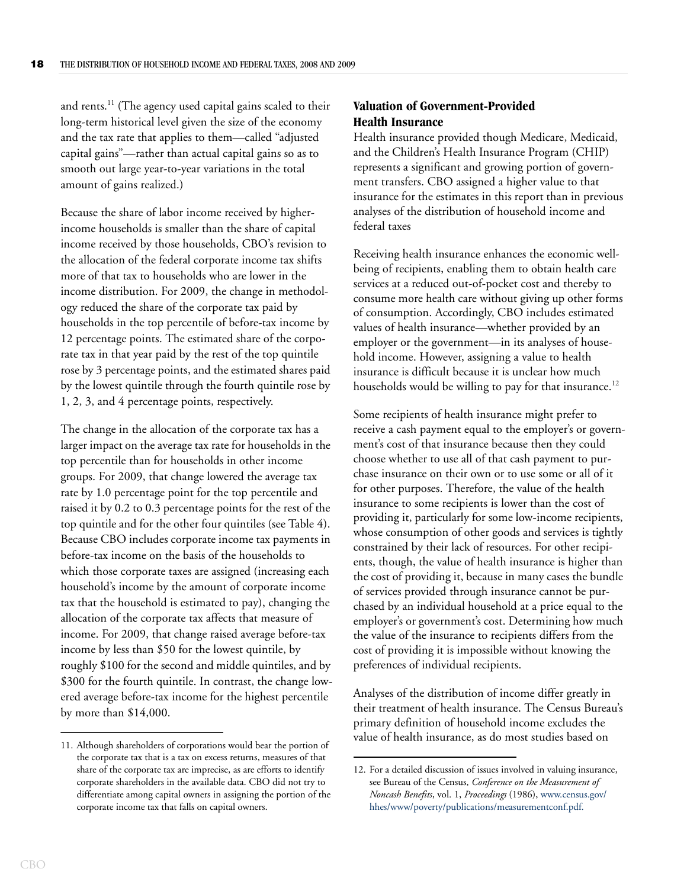and rents.<sup>11</sup> (The agency used capital gains scaled to their long-term historical level given the size of the economy and the tax rate that applies to them—called "adjusted capital gains"—rather than actual capital gains so as to smooth out large year-to-year variations in the total amount of gains realized.)

Because the share of labor income received by higherincome households is smaller than the share of capital income received by those households, CBO's revision to the allocation of the federal corporate income tax shifts more of that tax to households who are lower in the income distribution. For 2009, the change in methodology reduced the share of the corporate tax paid by households in the top percentile of before-tax income by 12 percentage points. The estimated share of the corporate tax in that year paid by the rest of the top quintile rose by 3 percentage points, and the estimated shares paid by the lowest quintile through the fourth quintile rose by 1, 2, 3, and 4 percentage points, respectively.

The change in the allocation of the corporate tax has a larger impact on the average tax rate for households in the top percentile than for households in other income groups. For 2009, that change lowered the average tax rate by 1.0 percentage point for the top percentile and raised it by 0.2 to 0.3 percentage points for the rest of the top quintile and for the other four quintiles (see [Table 4](#page-23-0)). Because CBO includes corporate income tax payments in before-tax income on the basis of the households to which those corporate taxes are assigned (increasing each household's income by the amount of corporate income tax that the household is estimated to pay), changing the allocation of the corporate tax affects that measure of income. For 2009, that change raised average before-tax income by less than \$50 for the lowest quintile, by roughly \$100 for the second and middle quintiles, and by \$300 for the fourth quintile. In contrast, the change lowered average before-tax income for the highest percentile by more than \$14,000.

## <span id="page-22-0"></span>**Valuation of Government-Provided Health Insurance**

Health insurance provided though Medicare, Medicaid, and the Children's Health Insurance Program (CHIP) represents a significant and growing portion of government transfers. CBO assigned a higher value to that insurance for the estimates in this report than in previous analyses of the distribution of household income and federal taxes

Receiving health insurance enhances the economic wellbeing of recipients, enabling them to obtain health care services at a reduced out-of-pocket cost and thereby to consume more health care without giving up other forms of consumption. Accordingly, CBO includes estimated values of health insurance—whether provided by an employer or the government—in its analyses of household income. However, assigning a value to health insurance is difficult because it is unclear how much households would be willing to pay for that insurance.<sup>12</sup>

Some recipients of health insurance might prefer to receive a cash payment equal to the employer's or government's cost of that insurance because then they could choose whether to use all of that cash payment to purchase insurance on their own or to use some or all of it for other purposes. Therefore, the value of the health insurance to some recipients is lower than the cost of providing it, particularly for some low-income recipients, whose consumption of other goods and services is tightly constrained by their lack of resources. For other recipients, though, the value of health insurance is higher than the cost of providing it, because in many cases the bundle of services provided through insurance cannot be purchased by an individual household at a price equal to the employer's or government's cost. Determining how much the value of the insurance to recipients differs from the cost of providing it is impossible without knowing the preferences of individual recipients.

Analyses of the distribution of income differ greatly in their treatment of health insurance. The Census Bureau's primary definition of household income excludes the value of health insurance, as do most studies based on 11. Although shareholders of corporations would bear the portion of

the corporate tax that is a tax on excess returns, measures of that share of the corporate tax are imprecise, as are efforts to identify corporate shareholders in the available data. CBO did not try to differentiate among capital owners in assigning the portion of the corporate income tax that falls on capital owners.

<sup>12.</sup> For a detailed discussion of issues involved in valuing insurance, see Bureau of the Census, *Conference on the Measurement of Noncash Benefits*, vol. 1, *Proceedings* (1986), [www.census.gov/](http://www.census.gov/hhes/www/poverty/publications/measurementconf.pdf) [hhes/www/poverty/publications/measurementconf.pdf.](http://www.census.gov/hhes/www/poverty/publications/measurementconf.pdf)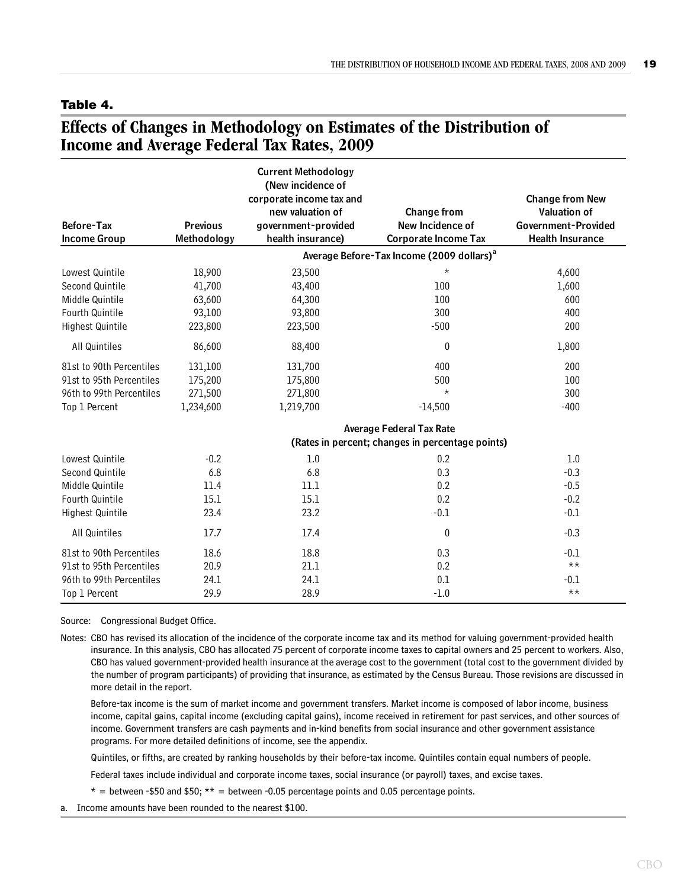#### <span id="page-23-0"></span>**Table 4.**

## <span id="page-23-1"></span>**Effects of Changes in Methodology on Estimates of the Distribution of Income and Average Federal Tax Rates, 2009**

|                                          |                                | <b>Current Methodology</b><br>(New incidence of<br>corporate income tax and<br>new valuation of | <b>Change from</b>                                    | <b>Change from New</b><br><b>Valuation of</b>  |
|------------------------------------------|--------------------------------|-------------------------------------------------------------------------------------------------|-------------------------------------------------------|------------------------------------------------|
| <b>Before-Tax</b><br><b>Income Group</b> | <b>Previous</b><br>Methodology | government-provided<br>health insurance)                                                        | New Incidence of<br><b>Corporate Income Tax</b>       | Government-Provided<br><b>Health Insurance</b> |
|                                          |                                |                                                                                                 | Average Before-Tax Income (2009 dollars) <sup>a</sup> |                                                |
| Lowest Quintile                          | 18,900                         | 23,500                                                                                          | $^\star$                                              | 4,600                                          |
| Second Quintile                          | 41,700                         | 43,400                                                                                          | 100                                                   | 1,600                                          |
| Middle Quintile                          | 63,600                         | 64,300                                                                                          | 100                                                   | 600                                            |
| Fourth Quintile                          | 93,100                         | 93,800                                                                                          | 300                                                   | 400                                            |
| Highest Quintile                         | 223,800                        | 223,500                                                                                         | $-500$                                                | 200                                            |
| All Quintiles                            | 86,600                         | 88,400                                                                                          | $\mathbf{0}$                                          | 1,800                                          |
| 81st to 90th Percentiles                 | 131,100                        | 131,700                                                                                         | 400                                                   | 200                                            |
| 91st to 95th Percentiles                 | 175,200                        | 175,800                                                                                         | 500                                                   | 100                                            |
| 96th to 99th Percentiles                 | 271,500                        | 271,800                                                                                         | $\star$                                               | 300                                            |
| Top 1 Percent                            | 1,234,600                      | 1,219,700                                                                                       | $-14,500$                                             | $-400$                                         |
|                                          |                                |                                                                                                 | <b>Average Federal Tax Rate</b>                       |                                                |
|                                          |                                |                                                                                                 | (Rates in percent; changes in percentage points)      |                                                |
| Lowest Quintile                          | $-0.2$                         | 1.0                                                                                             | 0.2                                                   | 1.0                                            |
| Second Quintile                          | 6.8                            | 6.8                                                                                             | 0.3                                                   | $-0.3$                                         |
| Middle Quintile                          | 11.4                           | 11.1                                                                                            | 0.2                                                   | $-0.5$                                         |
| <b>Fourth Quintile</b>                   | 15.1                           | 15.1                                                                                            | 0.2                                                   | $-0.2$                                         |
| Highest Quintile                         | 23.4                           | 23.2                                                                                            | $-0.1$                                                | $-0.1$                                         |
| All Quintiles                            | 17.7                           | 17.4                                                                                            | 0                                                     | $-0.3$                                         |
| 81st to 90th Percentiles                 | 18.6                           | 18.8                                                                                            | 0.3                                                   | $-0.1$                                         |
| 91st to 95th Percentiles                 | 20.9                           | 21.1                                                                                            | 0.2                                                   | $***$                                          |
| 96th to 99th Percentiles                 | 24.1                           | 24.1                                                                                            | 0.1                                                   | $-0.1$                                         |
| Top 1 Percent                            | 29.9                           | 28.9                                                                                            | $-1.0$                                                | $***$                                          |

Source: Congressional Budget Office.

Notes: CBO has revised its allocation of the incidence of the corporate income tax and its method for valuing government-provided health insurance. In this analysis, CBO has allocated 75 percent of corporate income taxes to capital owners and 25 percent to workers. Also, CBO has valued government-provided health insurance at the average cost to the government (total cost to the government divided by the number of program participants) of providing that insurance, as estimated by the Census Bureau. Those revisions are discussed in more detail in the report.

Before-tax income is the sum of market income and government transfers. Market income is composed of labor income, business income, capital gains, capital income (excluding capital gains), income received in retirement for past services, and other sources of income. Government transfers are cash payments and in-kind benefits from social insurance and other government assistance programs. For more detailed definitions of income, see the appendix.

Quintiles, or fifths, are created by ranking households by their before-tax income. Quintiles contain equal numbers of people.

Federal taxes include individual and corporate income taxes, social insurance (or payroll) taxes, and excise taxes.

 $* =$  between -\$50 and \$50;  $** =$  between -0.05 percentage points and 0.05 percentage points.

a. Income amounts have been rounded to the nearest \$100.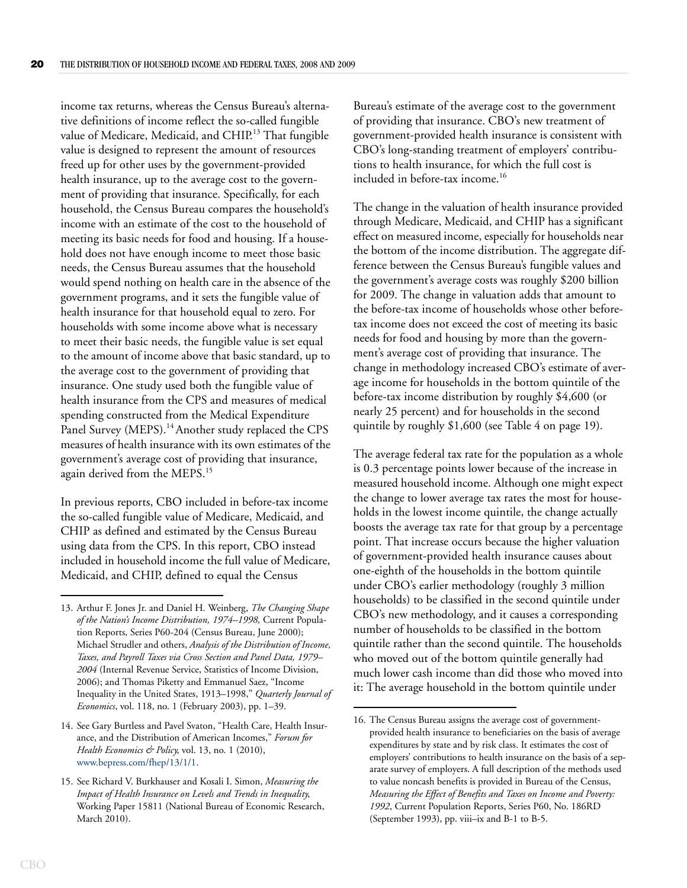income tax returns, whereas the Census Bureau's alternative definitions of income reflect the so-called fungible value of Medicare, Medicaid, and CHIP.<sup>13</sup> That fungible value is designed to represent the amount of resources freed up for other uses by the government-provided health insurance, up to the average cost to the government of providing that insurance. Specifically, for each household, the Census Bureau compares the household's income with an estimate of the cost to the household of meeting its basic needs for food and housing. If a household does not have enough income to meet those basic needs, the Census Bureau assumes that the household would spend nothing on health care in the absence of the government programs, and it sets the fungible value of health insurance for that household equal to zero. For households with some income above what is necessary to meet their basic needs, the fungible value is set equal to the amount of income above that basic standard, up to the average cost to the government of providing that insurance. One study used both the fungible value of health insurance from the CPS and measures of medical spending constructed from the Medical Expenditure Panel Survey (MEPS).<sup>14</sup> Another study replaced the CPS measures of health insurance with its own estimates of the government's average cost of providing that insurance, again derived from the MEPS.<sup>15</sup>

In previous reports, CBO included in before-tax income the so-called fungible value of Medicare, Medicaid, and CHIP as defined and estimated by the Census Bureau using data from the CPS. In this report, CBO instead included in household income the full value of Medicare, Medicaid, and CHIP, defined to equal the Census

Bureau's estimate of the average cost to the government of providing that insurance. CBO's new treatment of government-provided health insurance is consistent with CBO's long-standing treatment of employers' contributions to health insurance, for which the full cost is included in before-tax income.<sup>16</sup>

The change in the valuation of health insurance provided through Medicare, Medicaid, and CHIP has a significant effect on measured income, especially for households near the bottom of the income distribution. The aggregate difference between the Census Bureau's fungible values and the government's average costs was roughly \$200 billion for 2009. The change in valuation adds that amount to the before-tax income of households whose other beforetax income does not exceed the cost of meeting its basic needs for food and housing by more than the government's average cost of providing that insurance. The change in methodology increased CBO's estimate of average income for households in the bottom quintile of the before-tax income distribution by roughly \$4,600 (or nearly 25 percent) and for households in the second quintile by roughly \$1,600 (see [Table 4 on page 19](#page-23-0)).

The average federal tax rate for the population as a whole is 0.3 percentage points lower because of the increase in measured household income. Although one might expect the change to lower average tax rates the most for households in the lowest income quintile, the change actually boosts the average tax rate for that group by a percentage point. That increase occurs because the higher valuation of government-provided health insurance causes about one-eighth of the households in the bottom quintile under CBO's earlier methodology (roughly 3 million households) to be classified in the second quintile under CBO's new methodology, and it causes a corresponding number of households to be classified in the bottom quintile rather than the second quintile. The households who moved out of the bottom quintile generally had much lower cash income than did those who moved into it: The average household in the bottom quintile under

<sup>13.</sup> Arthur F. Jones Jr. and Daniel H. Weinberg, *The Changing Shape of the Nation's Income Distribution, 1974–1998,* Current Population Reports, Series P60-204 (Census Bureau, June 2000); Michael Strudler and others, *Analysis of the Distribution of Income, Taxes, and Payroll Taxes via Cross Section and Panel Data, 1979– 2004* (Internal Revenue Service, Statistics of Income Division, 2006); and Thomas Piketty and Emmanuel Saez, "Income Inequality in the United States, 1913–1998," *Quarterly Journal of Economics*, vol. 118, no. 1 (February 2003), pp. 1–39.

<sup>14.</sup> See Gary Burtless and Pavel Svaton, "Health Care, Health Insurance, and the Distribution of American Incomes," *Forum for Health Economics & Policy*, vol. 13, no. 1 (2010), [www.bepress.com/fhep/13/1/1.](http://www.degruyter.com/view/j/fhep)

<sup>15.</sup> See Richard V. Burkhauser and Kosali I. Simon, *Measuring the Impact of Health Insurance on Levels and Trends in Inequality*, Working Paper 15811 (National Bureau of Economic Research, March 2010).

<sup>16.</sup> The Census Bureau assigns the average cost of governmentprovided health insurance to beneficiaries on the basis of average expenditures by state and by risk class. It estimates the cost of employers' contributions to health insurance on the basis of a separate survey of employers. A full description of the methods used to value noncash benefits is provided in Bureau of the Census, *Measuring the Effect of Benefits and Taxes on Income and Poverty: 1992*, Current Population Reports, Series P60, No. 186RD (September 1993), pp. viii–ix and B-1 to B-5.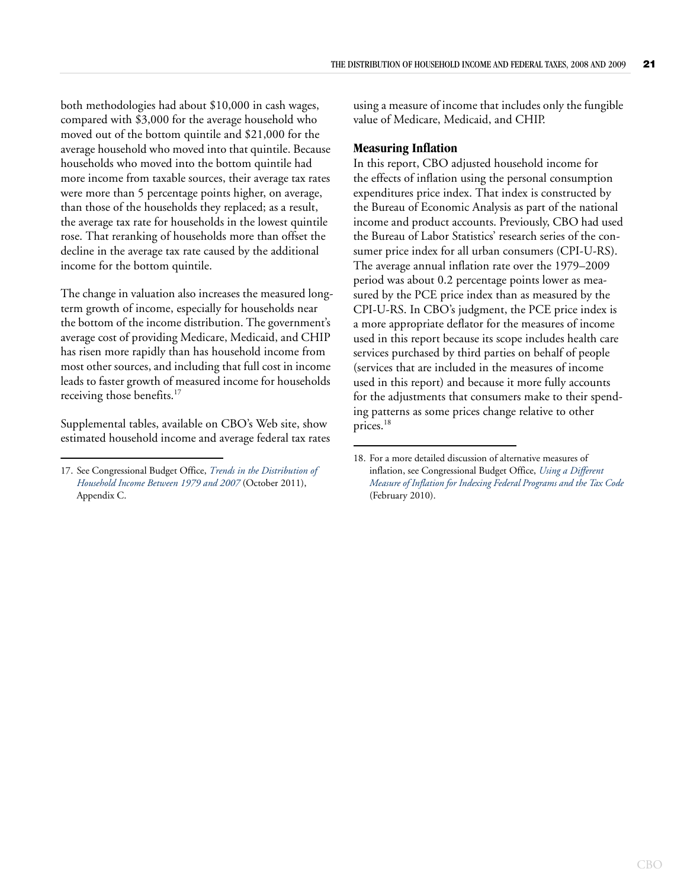both methodologies had about \$10,000 in cash wages, compared with \$3,000 for the average household who moved out of the bottom quintile and \$21,000 for the average household who moved into that quintile. Because households who moved into the bottom quintile had more income from taxable sources, their average tax rates were more than 5 percentage points higher, on average, than those of the households they replaced; as a result, the average tax rate for households in the lowest quintile rose. That reranking of households more than offset the decline in the average tax rate caused by the additional income for the bottom quintile.

The change in valuation also increases the measured longterm growth of income, especially for households near the bottom of the income distribution. The government's average cost of providing Medicare, Medicaid, and CHIP has risen more rapidly than has household income from most other sources, and including that full cost in income leads to faster growth of measured income for households receiving those benefits.<sup>17</sup>

Supplemental tables, available on [CBO's Web site,](http://www.cbo.gov/publication/43310) show estimated household income and average federal tax rates using a measure of income that includes only the fungible value of Medicare, Medicaid, and CHIP.

#### <span id="page-25-0"></span>**Measuring Inflation**

In this report, CBO adjusted household income for the effects of inflation using the personal consumption expenditures price index. That index is constructed by the Bureau of Economic Analysis as part of the national income and product accounts. Previously, CBO had used the Bureau of Labor Statistics' research series of the consumer price index for all urban consumers (CPI-U-RS). The average annual inflation rate over the 1979–2009 period was about 0.2 percentage points lower as measured by the PCE price index than as measured by the CPI-U-RS. In CBO's judgment, the PCE price index is a more appropriate deflator for the measures of income used in this report because its scope includes health care services purchased by third parties on behalf of people (services that are included in the measures of income used in this report) and because it more fully accounts for the adjustments that consumers make to their spending patterns as some prices change relative to other prices.<sup>18</sup>

<sup>17.</sup> See Congressional Budget Office, *[Trends in the Distribution of](http://www.cbo.gov/publication/42729)  [Household Income Between 1979 and 2007](http://www.cbo.gov/publication/42729)* (October 2011), Appendix C.

<sup>18.</sup> For a more detailed discussion of alternative measures of inflation, see Congressional Budget Office, *[Using a Different](http://www.cbo.gov/publication/21228)  [Measure of Inflation for Indexing Federal Programs and the Tax Code](http://www.cbo.gov/publication/21228)* (February 2010).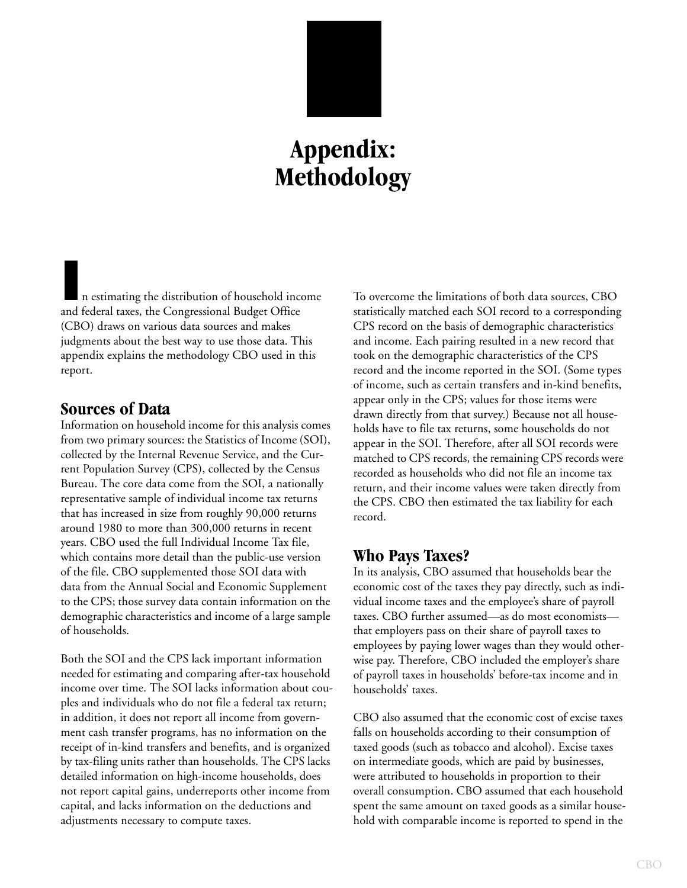# **Appendix: Methodology**

<span id="page-27-0"></span>**I**n estimating the distribution of household income and federal taxes, the Congressional Budget Office (CBO) draws on various data sources and makes judgments about the best way to use those data. This appendix explains the methodology CBO used in this report.

## **Sources of Data**

Information on household income for this analysis comes from two primary sources: the Statistics of Income (SOI), collected by the Internal Revenue Service, and the Current Population Survey (CPS), collected by the Census Bureau. The core data come from the SOI, a nationally representative sample of individual income tax returns that has increased in size from roughly 90,000 returns around 1980 to more than 300,000 returns in recent years. CBO used the full Individual Income Tax file, which contains more detail than the public-use version of the file. CBO supplemented those SOI data with data from the Annual Social and Economic Supplement to the CPS; those survey data contain information on the demographic characteristics and income of a large sample of households.

Both the SOI and the CPS lack important information needed for estimating and comparing after-tax household income over time. The SOI lacks information about couples and individuals who do not file a federal tax return; in addition, it does not report all income from government cash transfer programs, has no information on the receipt of in-kind transfers and benefits, and is organized by tax-filing units rather than households. The CPS lacks detailed information on high-income households, does not report capital gains, underreports other income from capital, and lacks information on the deductions and adjustments necessary to compute taxes.

To overcome the limitations of both data sources, CBO statistically matched each SOI record to a corresponding CPS record on the basis of demographic characteristics and income. Each pairing resulted in a new record that took on the demographic characteristics of the CPS record and the income reported in the SOI. (Some types of income, such as certain transfers and in-kind benefits, appear only in the CPS; values for those items were drawn directly from that survey.) Because not all households have to file tax returns, some households do not appear in the SOI. Therefore, after all SOI records were matched to CPS records, the remaining CPS records were recorded as households who did not file an income tax return, and their income values were taken directly from the CPS. CBO then estimated the tax liability for each record.

### **Who Pays Taxes?**

In its analysis, CBO assumed that households bear the economic cost of the taxes they pay directly, such as individual income taxes and the employee's share of payroll taxes. CBO further assumed—as do most economists that employers pass on their share of payroll taxes to employees by paying lower wages than they would otherwise pay. Therefore, CBO included the employer's share of payroll taxes in households' before-tax income and in households' taxes.

CBO also assumed that the economic cost of excise taxes falls on households according to their consumption of taxed goods (such as tobacco and alcohol). Excise taxes on intermediate goods, which are paid by businesses, were attributed to households in proportion to their overall consumption. CBO assumed that each household spent the same amount on taxed goods as a similar household with comparable income is reported to spend in the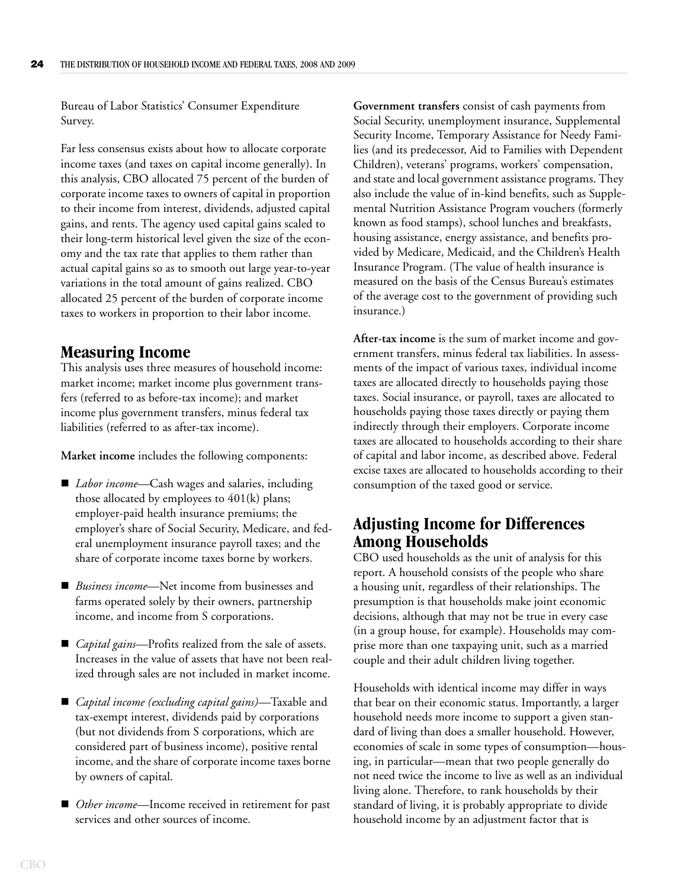Bureau of Labor Statistics' Consumer Expenditure Survey.

Far less consensus exists about how to allocate corporate income taxes (and taxes on capital income generally). In this analysis, CBO allocated 75 percent of the burden of corporate income taxes to owners of capital in proportion to their income from interest, dividends, adjusted capital gains, and rents. The agency used capital gains scaled to their long-term historical level given the size of the economy and the tax rate that applies to them rather than actual capital gains so as to smooth out large year-to-year variations in the total amount of gains realized. CBO allocated 25 percent of the burden of corporate income taxes to workers in proportion to their labor income.

## **Measuring Income**

This analysis uses three measures of household income: market income; market income plus government transfers (referred to as before-tax income); and market income plus government transfers, minus federal tax liabilities (referred to as after-tax income).

**Market income** includes the following components:

- *Labor income*—Cash wages and salaries, including those allocated by employees to 401(k) plans; employer-paid health insurance premiums; the employer's share of Social Security, Medicare, and federal unemployment insurance payroll taxes; and the share of corporate income taxes borne by workers.
- *Business income*—Net income from businesses and farms operated solely by their owners, partnership income, and income from S corporations.
- *Capital gains*—Profits realized from the sale of assets. Increases in the value of assets that have not been realized through sales are not included in market income.
- *Capital income (excluding capital gains)—*Taxable and tax-exempt interest, dividends paid by corporations (but not dividends from S corporations, which are considered part of business income), positive rental income, and the share of corporate income taxes borne by owners of capital.
- *Other income*—Income received in retirement for past services and other sources of income.

**Government transfers** consist of cash payments from Social Security, unemployment insurance, Supplemental Security Income, Temporary Assistance for Needy Families (and its predecessor, Aid to Families with Dependent Children), veterans' programs, workers' compensation, and state and local government assistance programs. They also include the value of in-kind benefits, such as Supplemental Nutrition Assistance Program vouchers (formerly known as food stamps), school lunches and breakfasts, housing assistance, energy assistance, and benefits provided by Medicare, Medicaid, and the Children's Health Insurance Program. (The value of health insurance is measured on the basis of the Census Bureau's estimates of the average cost to the government of providing such insurance.)

**After-tax income** is the sum of market income and government transfers, minus federal tax liabilities. In assessments of the impact of various taxes, individual income taxes are allocated directly to households paying those taxes. Social insurance, or payroll, taxes are allocated to households paying those taxes directly or paying them indirectly through their employers. Corporate income taxes are allocated to households according to their share of capital and labor income, as described above. Federal excise taxes are allocated to households according to their consumption of the taxed good or service.

## **Adjusting Income for Differences Among Households**

CBO used households as the unit of analysis for this report. A household consists of the people who share a housing unit, regardless of their relationships. The presumption is that households make joint economic decisions, although that may not be true in every case (in a group house, for example). Households may comprise more than one taxpaying unit, such as a married couple and their adult children living together.

Households with identical income may differ in ways that bear on their economic status. Importantly, a larger household needs more income to support a given standard of living than does a smaller household. However, economies of scale in some types of consumption—housing, in particular—mean that two people generally do not need twice the income to live as well as an individual living alone. Therefore, to rank households by their standard of living, it is probably appropriate to divide household income by an adjustment factor that is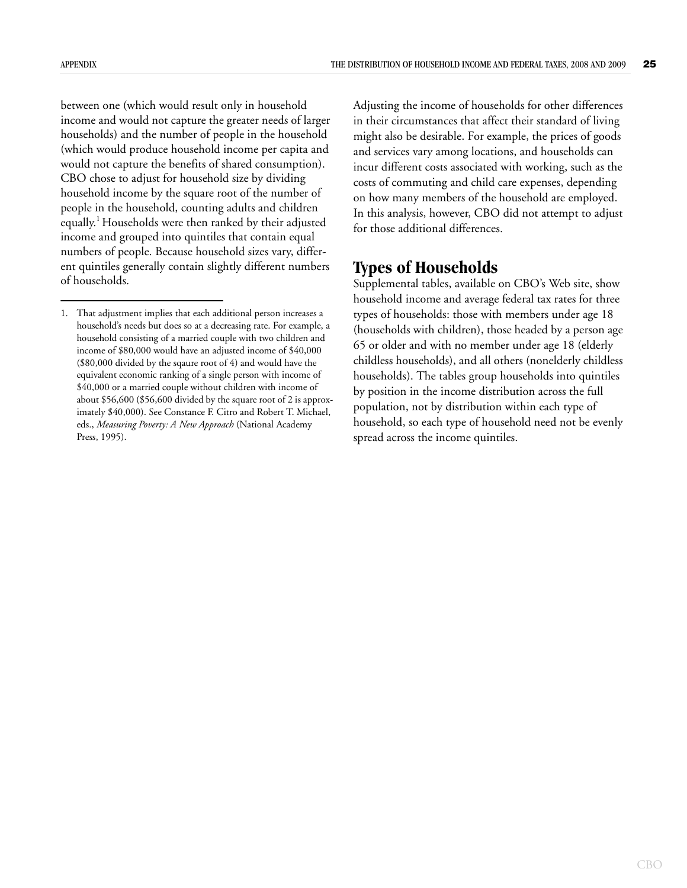between one (which would result only in household income and would not capture the greater needs of larger households) and the number of people in the household (which would produce household income per capita and would not capture the benefits of shared consumption). CBO chose to adjust for household size by dividing household income by the square root of the number of people in the household, counting adults and children equally.1 Households were then ranked by their adjusted income and grouped into quintiles that contain equal numbers of people. Because household sizes vary, different quintiles generally contain slightly different numbers of households.

Adjusting the income of households for other differences in their circumstances that affect their standard of living might also be desirable. For example, the prices of goods and services vary among locations, and households can incur different costs associated with working, such as the costs of commuting and child care expenses, depending on how many members of the household are employed. In this analysis, however, CBO did not attempt to adjust for those additional differences.

## **Types of Households**

Supplemental tables, available on CBO's Web site, show household income and average federal tax rates for three types of households: those with members under age 18 (households with children), those headed by a person age 65 or older and with no member under age 18 (elderly childless households), and all others (nonelderly childless households). The tables group households into quintiles by position in the income distribution across the full population, not by distribution within each type of household, so each type of household need not be evenly spread across the income quintiles.

<sup>1.</sup> That adjustment implies that each additional person increases a household's needs but does so at a decreasing rate. For example, a household consisting of a married couple with two children and income of \$80,000 would have an adjusted income of \$40,000 (\$80,000 divided by the sqaure root of 4) and would have the equivalent economic ranking of a single person with income of \$40,000 or a married couple without children with income of about \$56,600 (\$56,600 divided by the square root of 2 is approximately \$40,000). See Constance F. Citro and Robert T. Michael, eds., *Measuring Poverty: A New Approach* (National Academy Press, 1995).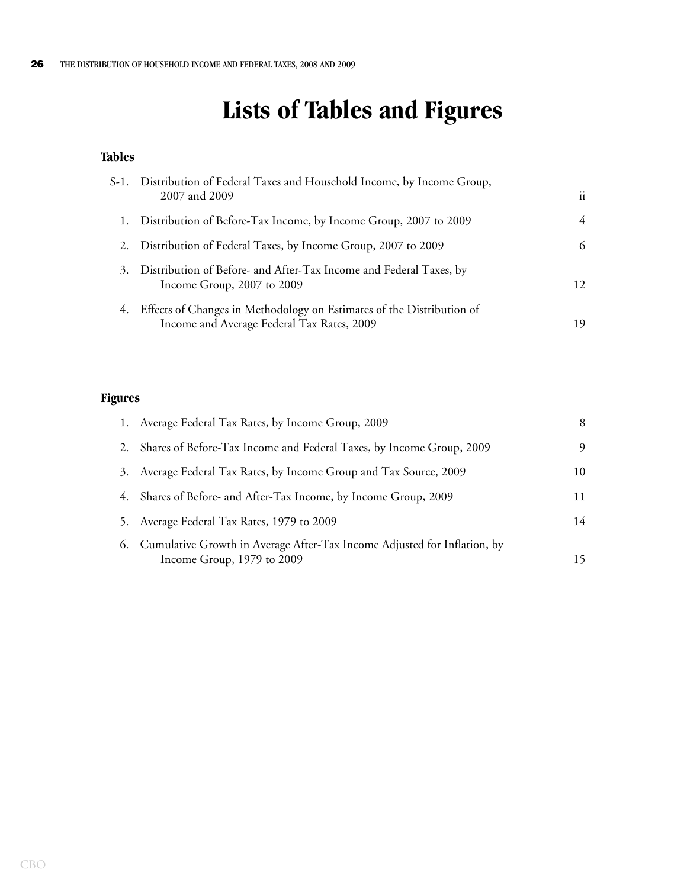# **Lists of Tables and Figures**

## <span id="page-30-0"></span>**Tables**

|    | S-1. Distribution of Federal Taxes and Household Income, by Income Group,<br>2007 and 2009                          | $\ddot{\mathbf{i}}$ |
|----|---------------------------------------------------------------------------------------------------------------------|---------------------|
|    | Distribution of Before-Tax Income, by Income Group, 2007 to 2009                                                    | 4                   |
| 2. | Distribution of Federal Taxes, by Income Group, 2007 to 2009                                                        | 6                   |
| 3. | Distribution of Before- and After-Tax Income and Federal Taxes, by<br>Income Group, 2007 to 2009                    | 12                  |
| 4. | Effects of Changes in Methodology on Estimates of the Distribution of<br>Income and Average Federal Tax Rates, 2009 | 19                  |

## **Figures**

|    | 1. Average Federal Tax Rates, by Income Group, 2009                                                       |    |
|----|-----------------------------------------------------------------------------------------------------------|----|
|    | Shares of Before-Tax Income and Federal Taxes, by Income Group, 2009                                      | 9  |
| 3. | Average Federal Tax Rates, by Income Group and Tax Source, 2009                                           | 10 |
| 4. | Shares of Before- and After-Tax Income, by Income Group, 2009                                             |    |
| 5. | Average Federal Tax Rates, 1979 to 2009                                                                   | 14 |
|    | 6. Cumulative Growth in Average After-Tax Income Adjusted for Inflation, by<br>Income Group, 1979 to 2009 |    |